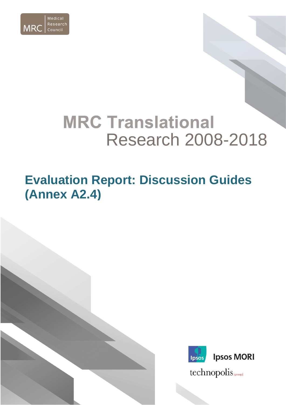

# **MRC Translational** Research 2008-2018

# **Evaluation Report: Discussion Guides (Annex A2.4)**



technopolis sproup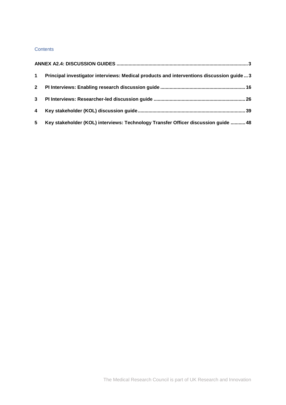## **Contents**

| $\mathbf 1$ | Principal investigator interviews: Medical products and interventions discussion guide3 |
|-------------|-----------------------------------------------------------------------------------------|
|             |                                                                                         |
| $3^{\circ}$ |                                                                                         |
| 4           |                                                                                         |
| 5           | Key stakeholder (KOL) interviews: Technology Transfer Officer discussion guide  48      |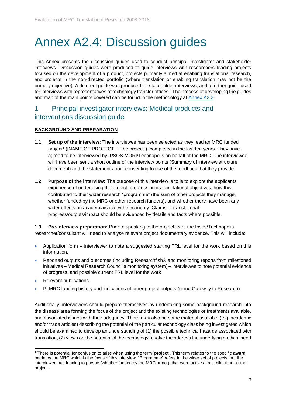# <span id="page-2-0"></span>Annex A2.4: Discussion guides

This Annex presents the discussion guides used to conduct principal investigator and stakeholder interviews. Discussion guides were produced to guide interviews with researchers leading projects focused on the development of a product, projects primarily aimed at enabling translational research, and projects in the non-directed portfolio (where translation or enabling translation may not be the primary objective). A different guide was produced for stakeholder interviews, and a further guide used for interviews with representatives of technology transfer offices. The process of developing the guides and map of the main points covered can be found in the methodology at [Annex A2.2.](https://mrc.ukri.org/publications/browse/10-year-translation-research-evaluation-report-2019-annex-2/)

## <span id="page-2-1"></span>1 Principal investigator interviews: Medical products and interventions discussion guide

## **BACKGROUND AND PREPARATION**

- **1.1 Set up of the interview:** The interviewee has been selected as they lead an MRC funded project<sup>1</sup> ([NAME OF PROJECT] - "the project"), completed in the last ten years. They have agreed to be interviewed by IPSOS MORI/Technopolis on behalf of the MRC. The interviewee will have been sent a short outline of the interview points (Summary of interview structure document) and the statement about consenting to use of the feedback that they provide.
- **1.2 Purpose of the interview:** The purpose of this interview is to is to explore the applicants' experience of undertaking the project, progressing its translational objectives, how this contributed to their wider research "programme" (the sum of other projects they manage, whether funded by the MRC or other research funders), and whether there have been any wider effects on academia/society/the economy. Claims of translational progress/outputs/impact should be evidenced by details and facts where possible.

**1.3 Pre-interview preparation:** Prior to speaking to the project lead, the Ipsos/Technopolis researcher/consultant will need to analyse relevant project documentary evidence. This will include:

- Application form interviewer to note a suggested starting TRL level for the work based on this information.
- Reported outputs and outcomes (including Researchfish® and monitoring reports from milestoned initiatives – Medical Research Council's monitoring system) – interviewee to note potential evidence of progress, and possible current TRL level for the work
- Relevant publications
- PI MRC funding history and indications of other project outputs (using Gateway to Research)

Additionally, interviewers should prepare themselves by undertaking some background research into the disease area forming the focus of the project and the existing technologies or treatments available, and associated issues with their adequacy. There may also be some material available (e.g. academic and/or trade articles) describing the potential of the particular technology class being investigated which should be examined to develop an understanding of (1) the possible technical hazards associated with translation, (2) views on the potential of the technology resolve the address the underlying medical need

<sup>1</sup> <sup>1</sup> There is potential for confusion to arise when using the term '**project**'. This term relates to the specific **award** made by the MRC which is the focus of this interview. "Programme" refers to the wider set of projects that the interviewee has funding to pursue (whether funded by the MRC or not), that were active at a similar time as the project.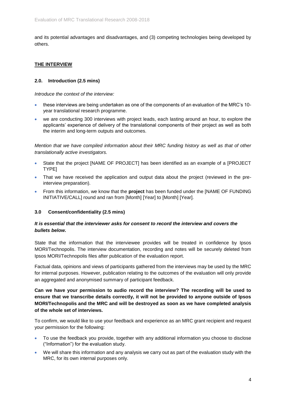and its potential advantages and disadvantages, and (3) competing technologies being developed by others.

## **THE INTERVIEW**

## **2.0. Introduction (2.5 mins)**

*Introduce the context of the interview:*

- these interviews are being undertaken as one of the components of an evaluation of the MRC's 10 year translational research programme.
- we are conducting 300 interviews with project leads, each lasting around an hour, to explore the applicants' experience of delivery of the translational components of their project as well as both the interim and long-term outputs and outcomes.

*Mention that we have compiled information about their MRC funding history as well as that of other translationally active investigators.* 

- State that the project [NAME OF PROJECT] has been identified as an example of a [PROJECT TYPE]
- That we have received the application and output data about the project (reviewed in the preinterview preparation).
- From this information, we know that the **project** has been funded under the [NAME OF FUNDING INITIATIVE/CALL] round and ran from [Month] [Year] to [Month] [Year].

## **3.0 Consent/confidentiality (2.5 mins)**

## *It is essential that the interviewer asks for consent to record the interview and covers the bullets below.*

State that the information that the interviewee provides will be treated in confidence by Ipsos MORI/Technopolis. The interview documentation, recording and notes will be securely deleted from Ipsos MORI/Technopolis files after publication of the evaluation report.

Factual data, opinions and views of participants gathered from the interviews may be used by the MRC for internal purposes. However, publication relating to the outcomes of the evaluation will only provide an aggregated and anonymised summary of participant feedback.

**Can we have your permission to audio record the interview? The recording will be used to ensure that we transcribe details correctly, it will not be provided to anyone outside of Ipsos MORI/Technopolis and the MRC and will be destroyed as soon as we have completed analysis of the whole set of interviews.**

To confirm, we would like to use your feedback and experience as an MRC grant recipient and request your permission for the following:

- To use the feedback you provide, together with any additional information you choose to disclose ("Information") for the evaluation study.
- We will share this information and any analysis we carry out as part of the evaluation study with the MRC, for its own internal purposes only.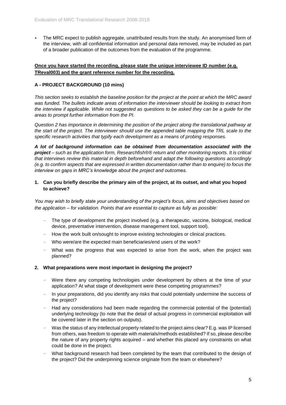• The MRC expect to publish aggregate, unattributed results from the study. An anonymised form of the interview, with all confidential information and personal data removed, may be included as part of a broader publication of the outcomes from the evaluation of the programme.

## **Once you have started the recording, please state the unique interviewee ID number (e.g. TReval003) and the grant reference number for the recording.**

## **A - PROJECT BACKGROUND (10 mins)**

*This section seeks to establish the baseline position for the project at the point at which the MRC award was funded. The bullets indicate areas of information the interviewer should be looking to extract from the interview if applicable. While not suggested as questions to be asked they can be a guide for the areas to prompt further information from the PI.*

*Question 2 has importance in determining the position of the project along the translational pathway at the start of the project. The interviewer should use the appended table mapping the TRL scale to the specific research activities that typify each development as a means of probing responses.* 

*A lot of background information can be obtained from documentation associated with the project – such as the application form, Researchfish®® return and other monitoring reports. It is critical that interviews review this material in depth beforehand and adapt the following questions accordingly (e.g. to confirm aspects that are expressed in written documentation rather than to enquire) to focus the interview on gaps in MRC's knowledge about the project and outcomes.* 

## **1. Can you briefly describe the primary aim of the project, at its outset, and what you hoped to achieve?**

*You may wish to briefly state your understanding of the project's focus, aims and objectives based on the application – for validation. Points that are essential to capture as fully as possible:*

- The type of development the project involved (e.g. a therapeutic, vaccine, biological, medical device, preventative intervention, disease management tool, support tool).
- How the work built on/sought to improve existing technologies or clinical practices.
- Who were/are the expected main beneficiaries/end users of the work?
- What was the progress that was expected to arise from the work, when the project was planned?

## **2. What preparations were most important in designing the project?**

- Were there any competing technologies under development by others at the time of your application? At what stage of development were these competing programmes?
- In your preparations, did you identify any risks that could potentially undermine the success of the project?
- Had any considerations had been made regarding the commercial potential of the (potential) underlying technology (to note that the detail of actual progress in commercial exploitation will be covered later in the section on outputs).
- Was the status of any intellectual property related to the project aims clear? E.g. was IP licensed from others, was freedom to operate with materials/methods established? If so, please describe the nature of any property rights acquired – and whether this placed any constraints on what could be done in the project.
- What background research had been completed by the team that contributed to the design of the project? Did the underpinning science originate from the team or elsewhere?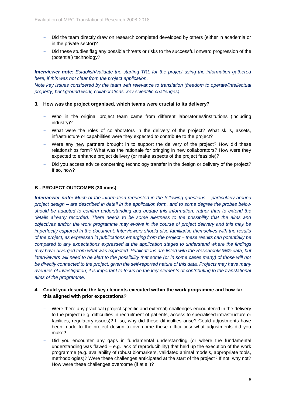- Did the team directly draw on research completed developed by others (either in academia or in the private sector)?
- Did these studies flag any possible threats or risks to the successful onward progression of the (potential) technology?

*Interviewer note: Establish/validate the starting TRL for the project using the information gathered here, if this was not clear from the project application.* 

*Note key issues considered by the team with relevance to translation (freedom to operate/intellectual property, background work, collaborations, key scientific challenges).*

#### **3. How was the project organised, which teams were crucial to its delivery?**

- Who in the original project team came from different laboratories/institutions (including industry)?
- What were the roles of collaborators in the delivery of the project? What skills, assets, infrastructure or capabilities were they expected to contribute to the project?
- Were any new partners brought in to support the delivery of the project? How did these relationships form? What was the rationale for bringing in new collaborators? How were they expected to enhance project delivery (or make aspects of the project feasible)?
- Did you access advice concerning technology transfer in the design or delivery of the project? If so, how?

#### **B - PROJECT OUTCOMES (30 mins)**

*Interviewer note: Much of the information requested in the following questions – particularly around project design – are described in detail in the application form, and to some degree the probes below should be adapted to confirm understanding and update this information, rather than to extend the details already recorded. There needs to be some alertness to the possibility that the aims and objectives and/or the work programme may evolve in the course of project delivery and this may be imperfectly captured in the document. Interviewers should also familiarise themselves with the results of the project, as expressed in publications emerging from the project – these results can potentially be compared to any expectations expressed at the application stages to understand where the findings may have diverged from what was expected. Publications are listed with the Researchfish®® data, but interviewers will need to be alert to the possibility that some (or in some cases many) of those will not be directly connected to the project, given the self-reported nature of this data. Projects may have many avenues of investigation; it is important to focus on the key elements of contributing to the translational aims of the programme.*

## **4. Could you describe the key elements executed within the work programme and how far this aligned with prior expectations?**

- Were there any practical (project specific and external) challenges encountered in the delivery to the project (e.g. difficulties in recruitment of patients, access to specialised infrastructure or facilities, regulatory issues)? If so, why did these difficulties arise? Could adjustments have been made to the project design to overcome these difficulties/ what adjustments did you make?
- Did you encounter any gaps in fundamental understanding (or where the fundamental understanding was flawed – e.g. lack of reproducibility) that held up the execution of the work programme (e.g. availability of robust biomarkers, validated animal models, appropriate tools, methodologies)? Were these challenges anticipated at the start of the project? If not, why not? How were these challenges overcome (if at all)?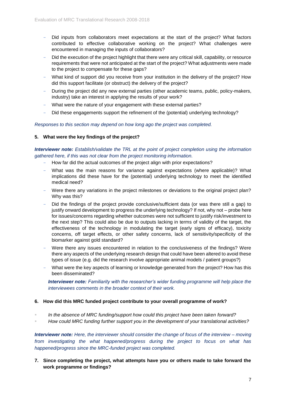- Did inputs from collaborators meet expectations at the start of the project? What factors contributed to effective collaborative working on the project? What challenges were encountered in managing the inputs of collaborators?
- Did the execution of the project highlight that there were any critical skill, capability, or resource requirements that were not anticipated at the start of the project? What adjustments were made to the project to compensate for these gaps?
- What kind of support did you receive from your institution in the delivery of the project? How did this support facilitate (or obstruct) the delivery of the project?
- During the project did any new external parties (other academic teams, public, policy-makers, industry) take an interest in applying the results of your work?
- What were the nature of your engagement with these external parties?
- Did these engagements support the refinement of the (potential) underlying technology?

*Responses to this section may depend on how long ago the project was completed.*

#### **5. What were the key findings of the project?**

*Interviewer note: Establish/validate the TRL at the point of project completion using the information gathered here, if this was not clear from the project monitoring information.* 

- How far did the actual outcomes of the project align with prior expectations?
- What was the main reasons for variance against expectations (where applicable)? What implications did these have for the (potential) underlying technology to meet the identified medical need?
- Were there any variations in the project milestones or deviations to the original project plan? Why was this?
- Did the findings of the project provide conclusive/sufficient data (or was there still a gap) to justify onward development to progress the underlying technology? If not, why not – probe here for issues/concerns regarding whether outcomes were not sufficient to justify risk/investment to the next step? This could also be due to outputs lacking in terms of validity of the target, the effectiveness of the technology in modulating the target (early signs of efficacy), toxicity concerns, off target effects, or other safety concerns, lack of sensitivity/specificity of the biomarker against gold standard?
- Were there any issues encountered in relation to the conclusiveness of the findings? Were there any aspects of the underlying research design that could have been altered to avoid these types of issue (e.g. did the research involve appropriate animal models / patient groups?)
- What were the key aspects of learning or knowledge generated from the project? How has this been disseminated?

*Interviewer note: Familiarity with the researcher's wider funding programme will help place the interviewees comments in the broader context of their work.* 

#### **6. How did this MRC funded project contribute to your overall programme of work?**

- In the absence of MRC funding/support how could this project have been taken forward?
- *How could MRC funding further support you in the development of your translational activities?*

*Interviewer note: Here, the interviewer should consider the change of focus of the interview – moving from investigating the what happened/progress during the project to focus on what has happened/progress since the MRC-funded project was completed.*

**7. Since completing the project, what attempts have you or others made to take forward the work programme or findings?**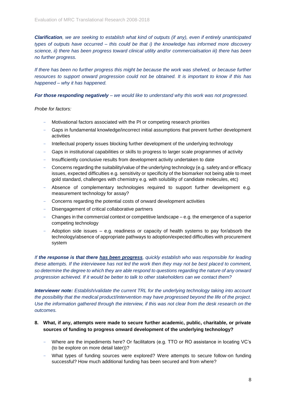*Clarification, we are seeking to establish what kind of outputs (if any), even if entirely unanticipated types of outputs have occurred – this could be that i) the knowledge has informed more discovery science, ii) there has been progress toward clinical utility and/or commercialisation iii) there has been no further progress.*

*If there has been no further progress this might be because the work was shelved, or because further resources to support onward progression could not be obtained. It is important to know if this has happened – why it has happened.*

*For those responding negatively – we would like to understand why this work was not progressed.* 

*Probe for factors:*

- Motivational factors associated with the PI or competing research priorities
- Gaps in fundamental knowledge/incorrect initial assumptions that prevent further development activities
- Intellectual property issues blocking further development of the underlying technology
- Gaps in institutional capabilities or skills to progress to larger scale programmes of activity
- Insufficiently conclusive results from development activity undertaken to date
- Concerns regarding the suitability/value of the underlying technology (e.g. safety and or efficacy issues, expected difficulties e.g. sensitivity or specificity of the biomarker not being able to meet gold standard, challenges with chemistry e.g. with solubility of candidate molecules, etc)
- Absence of complementary technologies required to support further development e.g. measurement technology for assay?
- Concerns regarding the potential costs of onward development activities
- Disengagement of critical collaborative partners
- Changes in the commercial context or competitive landscape e.g. the emergence of a superior competing technology
- Adoption side issues  $-$  e.g. readiness or capacity of health systems to pay for/absorb the technology/absence of appropriate pathways to adoption/expected difficulties with procurement system

*If the response is that there has been progress, quickly establish who was responsible for leading these attempts. If the interviewee has not led the work then they may not be best placed to comment, so determine the degree to which they are able respond to questions regarding the nature of any onward progression achieved. If it would be better to talk to other stakeholders can we contact them?* 

*Interviewer note: Establish/validate the current TRL for the underlying technology taking into account the possibility that the medical product/intervention may have progressed beyond the life of the project. Use the information gathered through the interview, if this was not clear from the desk research on the outcomes.* 

## **8. What, if any, attempts were made to secure further academic, public, charitable, or private sources of funding to progress onward development of the underlying technology?**

- Where are the impediments here? Or facilitators (e.g. TTO or RO assistance in locating VC's (to be explore on more detail later))?
- What types of funding sources were explored? Were attempts to secure follow-on funding successful? How much additional funding has been secured and from where?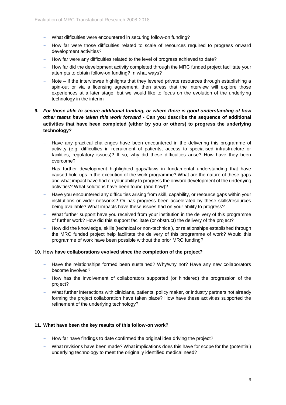- What difficulties were encountered in securing follow-on funding?
- How far were those difficulties related to scale of resources required to progress onward development activities?
- How far were any difficulties related to the level of progress achieved to date?
- How far did the development activity completed through the MRC funded project facilitate your attempts to obtain follow-on funding? In what ways?
- Note if the interviewee highlights that they levered private resources through establishing a spin-out or via a licensing agreement, then stress that the interview will explore those experiences at a later stage, but we would like to focus on the evolution of the underlying technology in the interim

## **9.** *For those able to secure additional funding, or where there is good understanding of how other teams have taken this work forward -* **Can you describe the sequence of additional activities that have been completed (either by you or others) to progress the underlying technology?**

- Have any practical challenges have been encountered in the delivering this programme of activity (e.g. difficulties in recruitment of patients, access to specialised infrastructure or facilities, regulatory issues)? If so, why did these difficulties arise? How have they been overcome?
- Has further development highlighted gaps/flaws in fundamental understanding that have caused hold-ups in the execution of the work programme? What are the nature of these gaps and what impact have had on your ability to progress the onward development of the underlying activities? What solutions have been found (and how)?
- Have you encountered any difficulties arising from skill, capability, or resource gaps within your institutions or wider networks? Or has progress been accelerated by these skills/resources being available? What impacts have these issues had on your ability to progress?
- What further support have you received from your institution in the delivery of this programme of further work? How did this support facilitate (or obstruct) the delivery of the project?
- How did the knowledge, skills (technical or non-technical), or relationships established through the MRC funded project help facilitate the delivery of this programme of work? Would this programme of work have been possible without the prior MRC funding?

## **10. How have collaborations evolved since the completion of the project?**

- Have the relationships formed been sustained? Why/why not? Have any new collaborators become involved?
- How has the involvement of collaborators supported (or hindered) the progression of the project?
- What further interactions with clinicians, patients, policy maker, or industry partners not already forming the project collaboration have taken place? How have these activities supported the refinement of the underlying technology?

#### **11. What have been the key results of this follow-on work?**

- How far have findings to date confirmed the original idea driving the project?
- What revisions have been made? What implications does this have for scope for the (potential) underlying technology to meet the originally identified medical need?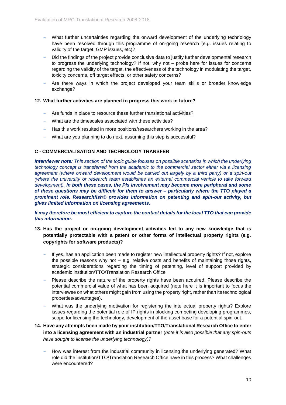- What further uncertainties regarding the onward development of the underlying technology have been resolved through this programme of on-going research (e.g. issues relating to validity of the target, GMP issues, etc)?
- Did the findings of the project provide conclusive data to justify further developmental research to progress the underlying technology? If not, why not – probe here for issues for concerns regarding the validity of the target, the effectiveness of the technology in modulating the target, toxicity concerns, off target effects, or other safety concerns?
- Are there ways in which the project developed your team skills or broader knowledge exchange?

#### **12. What further activities are planned to progress this work in future?**

- Are funds in place to resource these further translational activities?
- What are the timescales associated with these activities?
- Has this work resulted in more positions/researchers working in the area?
- What are you planning to do next, assuming this step is successful?

## **C - COMMERCIALISATION AND TECHNOLOGY TRANSFER**

*Interviewer note: This section of the topic guide focuses on possible scenarios in which the underlying technology concept is transferred from the academic to the commercial sector either via a licensing agreement (where onward development would be carried out largely by a third party) or a spin-out (where the university or research team establishes an external commercial vehicle to take forward development). In both these cases, the PIs involvement may become more peripheral and some of these questions may be difficult for them to answer – particularly where the TTO played a prominent role. Researchfish® provides information on patenting and spin-out activity, but gives limited information on licensing agreements.*

*It may therefore be most efficient to capture the contact details for the local TTO that can provide this information.*

## **13. Has the project or on-going development activities led to any new knowledge that is potentially protectable with a patent or other forms of intellectual property rights (e.g. copyrights for software products)?**

- If yes, has an application been made to register new intellectual property rights? If not, explore the possible reasons why not  $-$  e.g. relative costs and benefits of maintaining those rights, strategic considerations regarding the timing of patenting, level of support provided by academic institution/TTO/Translation Research Office
- Please describe the nature of the property rights have been acquired. Please describe the potential commercial value of what has been acquired (note here it is important to focus the interviewee on what others might gain from using the property right, rather than its technological properties/advantages).
- What was the underlying motivation for registering the intellectual property rights? Explore issues regarding the potential role of IP rights in blocking competing developing programmes, scope for licensing the technology, development of the asset base for a potential spin-out.

## **14. Have any attempts been made by your institution/TTO/Translational Research Office to enter into a licensing agreement with an industrial partner** (*note it is also possible that any spin-outs have sought to license the underlying technology)?*

- How was interest from the industrial community in licensing the underlying generated? What role did the institution/TTO/Translation Research Office have in this process? What challenges were encountered?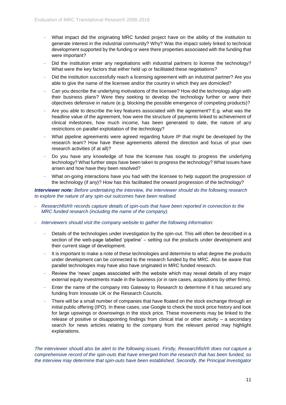- What impact did the originating MRC funded project have on the ability of the institution to generate interest in the industrial community? Why? Was the impact solely linked to technical development supported by the funding or were there properties associated with the funding that were important?
- Did the institution enter any negotiations with industrial partners to license the technology? What were the key factors that either held up or facilitated these negotiations?
- Did the institution successfully reach a licensing agreement with an industrial partner? Are you able to give the name of the licensee and/or the country in which they are domiciled?
- Can you describe the underlying motivations of the licensee? How did the technology align with their business plans? Were they seeking to develop the technology further or were their objectives defensive in nature (e.g. blocking the possible emergence of competing products)?
- Are you able to describe the key features associated with the agreement? E.g. what was the headline value of the agreement, how were the structure of payments linked to achievement of clinical milestones, how much income, has been generated to date, the nature of any restrictions on parallel exploitation of the technology?
- What pipeline agreements were agreed regarding future IP that might be developed by the research team? How have these agreements altered the direction and focus of your own research activities (if at all)?
- Do you have any knowledge of how the licensee has sought to progress the underlying technology? What further steps have been taken to progress the technology? What issues have arisen and how have they been resolved?
- What on-going interactions have you had with the licensee to help support the progression of the technology (if any)? How has this facilitated the onward progression of the technology?

*Interviewer note: Before undertaking the interview, the interviewer should do the following research to explore the nature of any spin-out outcomes have been realised.* 

- *Researchfish® records capture details of spin-outs that have been reported in connection to the MRC funded research (including the name of the company).*
- *Interviewers should visit the company website to gather the following information:*
	- Details of the technologies under investigation by the spin-out. This will often be described in a section of the web-page labelled 'pipeline' – setting out the products under development and their current stage of development.
	- It is important to make a note of these technologies and determine to what degree the products under development can be connected to the research funded by the MRC. Also be aware that parallel technologies may have also have originated in MRC funded research.
	- Review the 'news' pages associated with the website which may reveal details of any major external equity investments made in the business (or in rare cases, acquisitions by other firms).
	- Enter the name of the company into Gateway to Research to determine if it has secured any funding from Innovate UK or the Research Councils.
	- There will be a small number of companies that have floated on the stock exchange through an initial public offering (IPO). In these cases, use Google to check the stock price history and look for large upswings or downswings in the stock price. These movements may be linked to the release of positive or disappointing findings from clinical trial or other activity – a secondary search for news articles relating to the company from the relevant period may highlight explanations.

*The interviewer should also be alert to the following issues. Firstly, Researchfish® does not capture a comprehensive record of the spin-outs that have emerged from the research that has been funded, so the interview may determine that spin-outs have been established. Secondly, the Principal Investigator*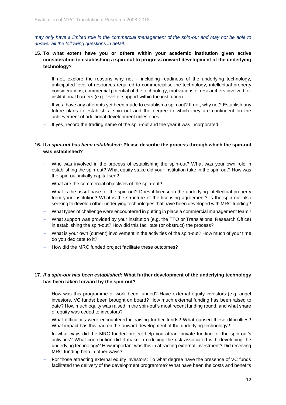*may only have a limited role in the commercial management of the spin-out and may not be able to answer all the following questions in detail.* 

- **15. To what extent have you or others within your academic institution given active consideration to establishing a spin-out to progress onward development of the underlying technology?** 
	- $-$  If not, explore the reasons why not  $-$  including readiness of the underlying technology, anticipated level of resources required to commercialise the technology, intellectual property considerations, commercial potential of the technology, motivations of researchers involved, or institutional barriers (e.g. level of support within the institution)
	- If yes, have any attempts yet been made to establish a spin out? If not, why not? Establish any future plans to establish a spin out and the degree to which they are contingent on the achievement of additional development milestones.
	- If yes, record the trading name of the spin-out and the year it was incorporated

## **16. If** *a spin-out has been established:* **Please describe the process through which the spin-out was established?**

- Who was involved in the process of establishing the spin-out? What was your own role in establishing the spin-out? What equity stake did your institution take in the spin-out? How was the spin-out initially capitalised?
- What are the commercial objectives of the spin-out?
- What is the asset base for the spin-out? Does it license-in the underlying intellectual property from your institution? What is the structure of the licensing agreement? Is the spin-out also seeking to develop other underlying technologies that have been developed with MRC funding?
- What types of challenge were encountered in putting in place a commercial management team?
- What support was provided by your institution (e.g. the TTO or Translational Research Office) in establishing the spin-out? How did this facilitate (or obstruct) the process?
- What is your own (current) involvement in the activities of the spin-out? How much of your time do you dedicate to it?
- How did the MRC funded project facilitate these outcomes?

## **17.** *If a spin-out has been established:* **What further development of the underlying technology has been taken forward by the spin-out?**

- How was this programme of work been funded? Have external equity investors (e.g. angel investors, VC funds) been brought on board? How much external funding has been raised to date? How much equity was raised in the spin-out's most recent funding round, and what share of equity was ceded to investors?
- What difficulties were encountered in raising further funds? What caused these difficulties? What impact has this had on the onward development of the underlying technology?
- In what ways did the MRC funded project help you attract private funding for the spin-out's activities? What contribution did it make in reducing the risk associated with developing the underlying technology? How important was this in attracting external investment? Did receiving MRC funding help in other ways?
- For those attracting external equity investors: To what degree have the presence of VC funds facilitated the delivery of the development programme? What have been the costs and benefits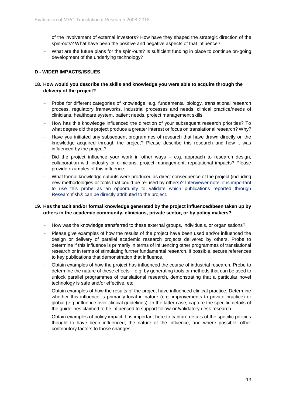of the involvement of external investors? How have they shaped the strategic direction of the spin-outs? What have been the positive and negative aspects of that influence?

What are the future plans for the spin-outs? Is sufficient funding in place to continue on-going development of the underlying technology?

## **D - WIDER IMPACTS/ISSUES**

## **18. How would you describe the skills and knowledge you were able to acquire through the delivery of the project?**

- Probe for different categories of knowledge: e.g. fundamental biology, translational research process, regulatory frameworks, industrial processes and needs, clinical practice/needs of clinicians, healthcare system, patient needs, project management skills.
- How has this knowledge influenced the direction of your subsequent research priorities? To what degree did the project produce a greater interest or focus on translational research? Why?
- Have you initiated any subsequent programmes of research that have drawn directly on the knowledge acquired through the project? Please describe this research and how it was influenced by the project?
- Did the project influence your work in other ways  $-$  e.g. approach to research design, collaboration with industry or clinicians, project management, reputational impacts? Please provide examples of this influence.
- What formal knowledge outputs were produced as direct consequence of the project (including new methodologies or tools that could be re-used by others)? Interviewer note: it is important to use this probe as an opportunity to validate which publications reported through Researchfish® can be directly attributed to the project.

## **19. Has the tacit and/or formal knowledge generated by the project influenced/been taken up by others in the academic community, clinicians, private sector, or by policy makers?**

- How was the knowledge transferred to these external groups, individuals, or organisations?
- Please give examples of how the results of the project have been used and/or influenced the design or delivery of parallel academic research projects delivered by others. Probe to determine if this influence is primarily in terms of influencing other programmes of translational research or in terms of stimulating further fundamental research. If possible, secure references to key publications that demonstration that influence.
- Obtain examples of how the project has influenced the course of industrial research. Probe to determine the nature of these effects – e.g. by generating tools or methods that can be used to unlock parallel programmes of translational research, demonstrating that a particular novel technology is safe and/or effective, etc.
- Obtain examples of how the results of the project have influenced clinical practice. Determine whether this influence is primarily local in nature (e.g. improvements to private practice) or global (e.g. influence over clinical guidelines). In the latter case, capture the specific details of the guidelines claimed to be influenced to support follow-on/validatory desk research.
- Obtain examples of policy impact. It is important here to capture details of the specific policies thought to have been influenced, the nature of the influence, and where possible, other contributory factors to those changes.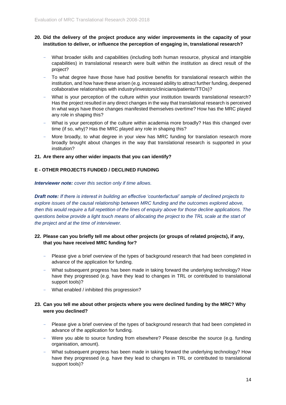## **20. Did the delivery of the project produce any wider improvements in the capacity of your institution to deliver, or influence the perception of engaging in, translational research?**

- What broader skills and capabilities (including both human resource, physical and intangible capabilities) in translational research were built within the institution as direct result of the project?
- To what degree have those have had positive benefits for translational research within the institution, and how have these arisen (e.g. increased ability to attract further funding, deepened collaborative relationships with industry/investors/clinicians/patients/TTOs)?
- What is your perception of the culture within your institution towards translational research? Has the project resulted in any direct changes in the way that translational research is perceived In what ways have those changes manifested themselves overtime? How has the MRC played any role in shaping this?
- What is your perception of the culture within academia more broadly? Has this changed over time (if so, why)? Has the MRC played any role in shaping this?
- More broadly, to what degree in your view has MRC funding for translation research more broadly brought about changes in the way that translational research is supported in your institution?

#### **21. Are there any other wider impacts that you can identify?**

## **E - OTHER PROJECTS FUNDED / DECLINED FUNDING**

*Interviewer note: cover this section only if time allows.*

*Draft note: If there is interest in building an effective 'counterfactual' sample of declined projects to explore issues of the causal relationship between MRC funding and the outcomes explored above, then this would require a full repetition of the lines of enquiry above for those decline applications. The questions below provide a light touch means of allocating the project to the TRL scale at the start of the project and at the time of interviewer.* 

## **22. Please can you briefly tell me about other projects (or groups of related projects), if any, that you have received MRC funding for?**

- Please give a brief overview of the types of background research that had been completed in advance of the application for funding.
- What subsequent progress has been made in taking forward the underlying technology? How have they progressed (e.g. have they lead to changes in TRL or contributed to translational support tools)?
- What enabled / inhibited this progression?

## **23. Can you tell me about other projects where you were declined funding by the MRC? Why were you declined?**

- Please give a brief overview of the types of background research that had been completed in advance of the application for funding.
- Were you able to source funding from elsewhere? Please describe the source (e.g. funding organisation, amount).
- What subsequent progress has been made in taking forward the underlying technology? How have they progressed (e.g. have they lead to changes in TRL or contributed to translational support tools)?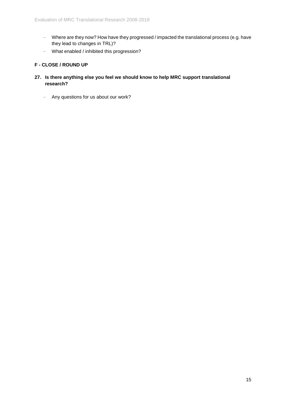- Where are they now? How have they progressed / impacted the translational process (e.g. have they lead to changes in TRL)?
- What enabled / inhibited this progression?

## **F - CLOSE / ROUND UP**

- **27. Is there anything else you feel we should know to help MRC support translational research?** 
	- Any questions for us about our work?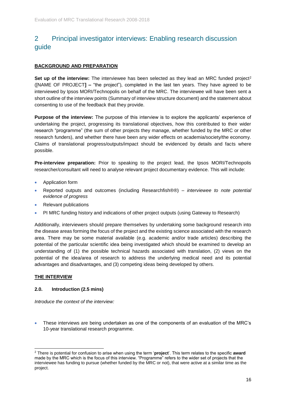# <span id="page-15-0"></span>2 Principal investigator interviews: Enabling research discussion guide

## **BACKGROUND AND PREPARATION**

**Set up of the interview:** The interviewee has been selected as they lead an MRC funded project<sup>2</sup> ([NAME OF PROJECT**] –** "the project"), completed in the last ten years. They have agreed to be interviewed by Ipsos MORI/Technopolis on behalf of the MRC. The interviewee will have been sent a short outline of the interview points (Summary of interview structure document) and the statement about consenting to use of the feedback that they provide.

**Purpose of the interview:** The purpose of this interview is to explore the applicants' experience of undertaking the project, progressing its translational objectives, how this contributed to their wider research "programme" (the sum of other projects they manage, whether funded by the MRC or other research funders), and whether there have been any wider effects on academia/society/the economy. Claims of translational progress/outputs/impact should be evidenced by details and facts where possible.

**Pre-interview preparation:** Prior to speaking to the project lead, the Ipsos MORI/Technopolis researcher/consultant will need to analyse relevant project documentary evidence. This will include:

- Application form
- Reported outputs and outcomes (including Researchfish®®) *interviewee to note potential evidence of progress*
- Relevant publications
- PI MRC funding history and indications of other project outputs (using Gateway to Research)

Additionally, interviewers should prepare themselves by undertaking some background research into the disease areas forming the focus of the project and the existing science associated with the research area. There may be some material available (e.g. academic and/or trade articles) describing the potential of the particular scientific idea being investigated which should be examined to develop an understanding of (1) the possible technical hazards associated with translation, (2) views on the potential of the idea/area of research to address the underlying medical need and its potential advantages and disadvantages, and (3) competing ideas being developed by others.

## **THE INTERVIEW**

## **2.0. Introduction (2.5 mins)**

*Introduce the context of the interview:*

• These interviews are being undertaken as one of the components of an evaluation of the MRC's 10-year translational research programme.

<sup>1</sup> <sup>2</sup> There is potential for confusion to arise when using the term '**project**'. This term relates to the specific **award** made by the MRC which is the focus of this interview. "Programme" refers to the wider set of projects that the interviewee has funding to pursue (whether funded by the MRC or not), that were active at a similar time as the project.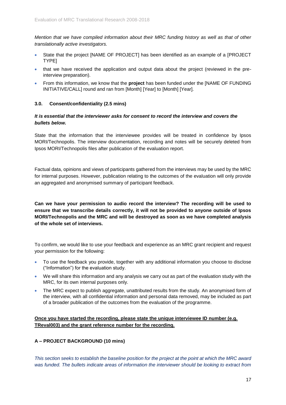*Mention that we have compiled information about their MRC funding history as well as that of other translationally active investigators.*

- State that the project [NAME OF PROJECT] has been identified as an example of a [PROJECT TYPE]
- that we have received the application and output data about the project (reviewed in the preinterview preparation).
- From this information, we know that the **project** has been funded under the [NAME OF FUNDING INITIATIVE/CALL] round and ran from [Month] [Year] to [Month] [Year].

## **3.0. Consent/confidentiality (2.5 mins)**

## *It is essential that the interviewer asks for consent to record the interview and covers the bullets below.*

State that the information that the interviewee provides will be treated in confidence by Ipsos MORI/Technopolis. The interview documentation, recording and notes will be securely deleted from Ipsos MORI/Technopolis files after publication of the evaluation report.

Factual data, opinions and views of participants gathered from the interviews may be used by the MRC for internal purposes. However, publication relating to the outcomes of the evaluation will only provide an aggregated and anonymised summary of participant feedback.

**Can we have your permission to audio record the interview? The recording will be used to ensure that we transcribe details correctly, it will not be provided to anyone outside of Ipsos MORI/Technopolis and the MRC and will be destroyed as soon as we have completed analysis of the whole set of interviews.**

To confirm, we would like to use your feedback and experience as an MRC grant recipient and request your permission for the following:

- To use the feedback you provide, together with any additional information you choose to disclose ("Information") for the evaluation study.
- We will share this information and any analysis we carry out as part of the evaluation study with the MRC, for its own internal purposes only.
- The MRC expect to publish aggregate, unattributed results from the study. An anonymised form of the interview, with all confidential information and personal data removed, may be included as part of a broader publication of the outcomes from the evaluation of the programme.

## **Once you have started the recording, please state the unique interviewee ID number (e.g. TReval003) and the grant reference number for the recording.**

## **A – PROJECT BACKGROUND (10 mins)**

*This section seeks to establish the baseline position for the project at the point at which the MRC award was funded. The bullets indicate areas of information the interviewer should be looking to extract from*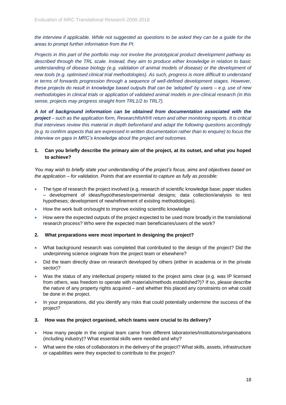*the interview if applicable. While not suggested as questions to be asked they can be a guide for the areas to prompt further information from the PI.*

*Projects in this part of the portfolio may not involve the prototypical product development pathway as described through the TRL scale. Instead, they aim to produce either knowledge in relation to basic understanding of disease biology (e.g. validation of animal models of disease) or the development of new tools (e.g. optimised clinical trial methodologies). As such, progress is more difficult to understand*  in terms of forwards progression through a sequence of well-defined development stages. However, *these projects do result in knowledge based outputs that can be 'adopted' by users – e.g. use of new methodologies in clinical trials or application of validated animal models in pre-clinical research (in this sense, projects may progress straight from TRL1/2 to TRL7).* 

*A lot of background information can be obtained from documentation associated with the project – such as the application form, Researchfish®® return and other monitoring reports. It is critical that interviews review this material in depth beforehand and adapt the following questions accordingly (e.g. to confirm aspects that are expressed in written documentation rather than to enquire) to focus the interview on gaps in MRC's knowledge about the project and outcomes.* 

## **1. Can you briefly describe the primary aim of the project, at its outset, and what you hoped to achieve?**

*You may wish to briefly state your understanding of the project's focus, aims and objectives based on the application – for validation. Points that are essential to capture as fully as possible:*

- The type of research the project involved (e.g. research of scientific knowledge base; paper studies – development of ideas/hypotheses/experimental designs; data collection/analysis to test hypotheses; development of new/refinement of existing methodologies).
- How the work built on/sought to improve existing scientific knowledge
- How were the expected outputs of the project expected to be used more broadly in the translational research process? Who were the expected main beneficiaries/users of the work?

#### **2. What preparations were most important in designing the project?**

- What background research was completed that contributed to the design of the project? Did the underpinning science originate from the project team or elsewhere?
- Did the team directly draw on research developed by others (either in academia or in the private sector)?
- Was the status of any intellectual property related to the project aims clear (e.g. was IP licensed from others, was freedom to operate with materials/methods established?)? If so, please describe the nature of any property rights acquired – and whether this placed any constraints on what could be done in the project.
- In your preparations, did you identify any risks that could potentially undermine the success of the project?

#### **3. How was the project organised, which teams were crucial to its delivery?**

- How many people in the original team came from different laboratories/institutions/organisations (including industry)? What essential skills were needed and why?
- What were the roles of collaborators in the delivery of the project? What skills, assets, infrastructure or capabilities were they expected to contribute to the project?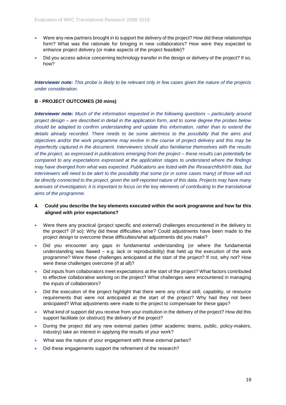- Were any new partners brought in to support the delivery of the project? How did these relationships form? What was the rationale for bringing in new collaborators? How were they expected to enhance project delivery (or make aspects of the project feasible)?
- Did you access advice concerning technology transfer in the design or delivery of the project? If so, how?

*Interviewer note: This probe is likely to be relevant only in few cases given the nature of the projects under consideration.* 

## **B - PROJECT OUTCOMES (30 mins)**

*Interviewer note: Much of the information requested in the following questions – particularly around project design – are described in detail in the application form, and to some degree the probes below should be adapted to confirm understanding and update this information, rather than to extend the details already recorded. There needs to be some alertness to the possibility that the aims and objectives and/or the work programme may evolve in the course of project delivery and this may be imperfectly captured in the document. Interviewers should also familiarise themselves with the results of the project, as expressed in publications emerging from the project – these results can potentially be compared to any expectations expressed at the application stages to understand where the findings may have diverged from what was expected. Publications are listed with the Researchfish®® data, but interviewers will need to be alert to the possibility that some (or in some cases many) of those will not be directly connected to the project, given the self-reported nature of this data. Projects may have many avenues of investigation; it is important to focus on the key elements of contributing to the translational aims of the programme.*

- **4. Could you describe the key elements executed within the work programme and how far this aligned with prior expectations?**
- Were there any practical (project specific and external) challenges encountered in the delivery to the project? (If so): Why did these difficulties arise? Could adjustments have been made to the project design to overcome these difficulties/what adjustments did you make?
- Did you encounter any gaps in fundamental understanding (or where the fundamental understanding was flawed – e.g. lack or reproducibility) that held up the execution of the work programme? Were these challenges anticipated at the start of the project? If not, why not? How were these challenges overcome (if at all)?
- Did inputs from collaborators meet expectations at the start of the project? What factors contributed to effective collaborative working on the project? What challenges were encountered in managing the inputs of collaborators?
- Did the execution of the project highlight that there were any critical skill, capability, or resource requirements that were not anticipated at the start of the project? Why had they not been anticipated? What adjustments were made to the project to compensate for these gaps?
- What kind of support did you receive from your institution in the delivery of the project? How did this support facilitate (or obstruct) the delivery of the project?
- During the project did any new external parties (other academic teams, public, policy-makers, industry) take an interest in applying the results of your work?
- What was the nature of your engagement with these external parties?
- Did these engagements support the refinement of the research?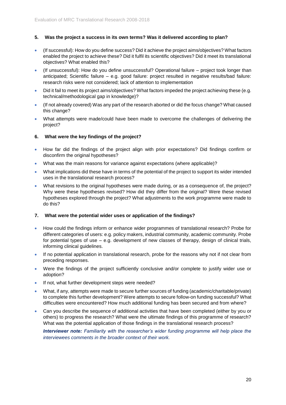## **5. Was the project a success in its own terms? Was it delivered according to plan?**

- (If successful): How do you define success? Did it achieve the project aims/objectives? What factors enabled the project to achieve these? Did it fulfil its scientific objectives? Did it meet its translational objectives? What enabled this?
- (If unsuccessful): How do you define unsuccessful? Operational failure project took longer than anticipated; Scientific failure – e.g. good failure: project resulted in negative results/bad failure: research risks were not considered; lack of attention to implementation
- Did it fail to meet its project aims/objectives? What factors impeded the project achieving these (e.g. technical/methodological gap in knowledge)?
- (If not already covered) Was any part of the research aborted or did the focus change? What caused this change?
- What attempts were made/could have been made to overcome the challenges of delivering the project?

#### **6. What were the key findings of the project?**

- How far did the findings of the project align with prior expectations? Did findings confirm or disconfirm the original hypotheses?
- What was the main reasons for variance against expectations (where applicable)?
- What implications did these have in terms of the potential of the project to support its wider intended uses in the translational research process?
- What revisions to the original hypotheses were made during, or as a consequence of, the project? Why were these hypotheses revised? How did they differ from the original? Were these revised hypotheses explored through the project? What adjustments to the work programme were made to do this?

#### **7. What were the potential wider uses or application of the findings?**

- How could the findings inform or enhance wider programmes of translational research? Probe for different categories of users: e.g. policy makers, industrial community, academic community. Probe for potential types of use  $-$  e.g. development of new classes of therapy, design of clinical trials, informing clinical guidelines.
- If no potential application in translational research, probe for the reasons why not if not clear from preceding responses.
- Were the findings of the project sufficiently conclusive and/or complete to justify wider use or adoption?
- If not, what further development steps were needed?
- What, if any, attempts were made to secure further sources of funding (academic/charitable/private) to complete this further development? Were attempts to secure follow-on funding successful? What difficulties were encountered? How much additional funding has been secured and from where?
- Can you describe the sequence of additional activities that have been completed (either by you or others) to progress the research? What were the ultimate findings of this programme of research? What was the potential application of those findings in the translational research process?

*Interviewer note: Familiarity with the researcher's wider funding programme will help place the interviewees comments in the broader context of their work.*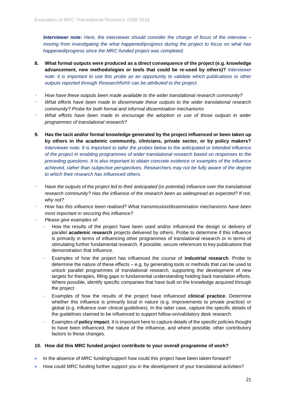*Interviewer note: Here, the interviewer should consider the change of focus of the interview – moving from investigating the what happened/progress during the project to focus on what has happened/progress since the MRC-funded project was completed.*

- **8. What formal outputs were produced as a direct consequence of the project (e.g. knowledge advancement, new methodologies or tools that could be re-used by others)?** *Interviewer note: it is important to use this probe as an opportunity to validate which publications or other outputs reported through Researchfish® can be attributed to the project.*
- *How have these outputs been made available to the wider translational research community?*
- What efforts have been made to disseminate these outputs to the wider translational research *community? Probe for both formal and informal dissemination mechanisms*
- What efforts have been made to encourage the adoption or use of those outputs in wider *programmes of translational research?*
- **9. Has the tacit and/or formal knowledge generated by the project influenced or been taken up by others in the academic community, clinicians, private sector, or by policy makers?** *Interviewer note: It is important to tailor the probes below to the anticipated or intended influence of the project in enabling programmes of wider translational research based on responses to the preceding questions. It is also important to obtain concrete evidence or examples of the influence achieved, rather than subjective perspectives. Researchers may not be fully aware of the degree to which their research has influenced others.*
- Have the outputs of the project led to their anticipated (or potential) influence over the translational *research community? Has the influence of the research been as widespread as expected? If not, why not?*
- *How has this influence been realised? What transmission/dissemination mechanisms have been most important in securing this influence?*
- *Please give examples of:*
	- How the results of the project have been used and/or influenced the design or delivery of parallel **academic research** projects delivered by others. Probe to determine if this influence is primarily in terms of influencing other programmes of translational research or in terms of stimulating further fundamental research. If possible, secure references to key publications that demonstration that influence.
	- Examples of how the project has influenced the course of **industrial research**. Probe to determine the nature of these effects – e.g. by generating tools or methods that can be used to unlock parallel programmes of translational research, supporting the development of new targets for therapies, filling gaps in fundamental understanding holding back translation efforts. Where possible, identify specific companies that have built on the knowledge acquired through the project.
	- Examples of how the results of the project have influenced **clinical practice**. Determine whether this influence is primarily local in nature (e.g. improvements to private practice) or global (e.g. influence over clinical guidelines). In the latter case, capture the specific details of the guidelines claimed to be influenced to support follow-on/validatory desk research.
	- Examples of **policy impact**. It is important here to capture details of the specific policies thought to have been influenced, the nature of the influence, and where possible, other contributory factors to those changes.

## **10. How did this MRC funded project contribute to your overall programme of work?**

- In the absence of MRC funding/support how could this project have been taken forward?
- How could MRC funding further support you in the development of your translational activities?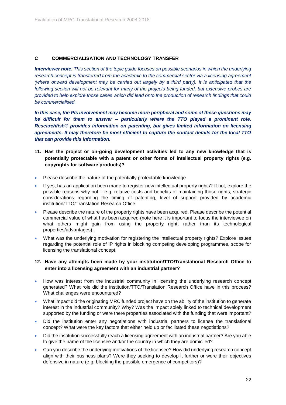## **C COMMERCIALISATION AND TECHNOLOGY TRANSFER**

*Interviewer note: This section of the topic guide focuses on possible scenarios in which the underlying research concept is transferred from the academic to the commercial sector via a licensing agreement (where onward development may be carried out largely by a third party). It is anticipated that the following section will not be relevant for many of the projects being funded, but extensive probes are provided to help explore those cases which did lead onto the production of research findings that could be commercialised.* 

*In this case, the PIs involvement may become more peripheral and some of these questions may be difficult for them to answer – particularly where the TTO played a prominent role. Researchfish® provides information on patenting, but gives limited information on licensing agreements. It may therefore be most efficient to capture the contact details for the local TTO that can provide this information.*

- **11. Has the project or on-going development activities led to any new knowledge that is potentially protectable with a patent or other forms of intellectual property rights (e.g. copyrights for software products)?**
- Please describe the nature of the potentially protectable knowledge.
- If yes, has an application been made to register new intellectual property rights? If not, explore the possible reasons why not – e.g. relative costs and benefits of maintaining those rights, strategic considerations regarding the timing of patenting, level of support provided by academic institution/TTO/Translation Research Office
- Please describe the nature of the property rights have been acquired. Please describe the potential commercial value of what has been acquired (note here it is important to focus the interviewee on what others might gain from using the property right, rather than its technological properties/advantages).
- What was the underlying motivation for registering the intellectual property rights? Explore issues regarding the potential role of IP rights in blocking competing developing programmes, scope for licensing the translational concept.

## **12. Have any attempts been made by your institution/TTO/Translational Research Office to enter into a licensing agreement with an industrial partner?**

- How was interest from the industrial community in licensing the underlying research concept generated? What role did the institution/TTO/Translation Research Office have in this process? What challenges were encountered?
- What impact did the originating MRC funded project have on the ability of the institution to generate interest in the industrial community? Why? Was the impact solely linked to technical development supported by the funding or were there properties associated with the funding that were important?
- Did the institution enter any negotiations with industrial partners to license the translational concept? What were the key factors that either held up or facilitated these negotiations?
- Did the institution successfully reach a licensing agreement with an industrial partner? Are you able to give the name of the licensee and/or the country in which they are domiciled?
- Can you describe the underlying motivations of the licensee? How did underlying research concept align with their business plans? Were they seeking to develop it further or were their objectives defensive in nature (e.g. blocking the possible emergence of competitors)?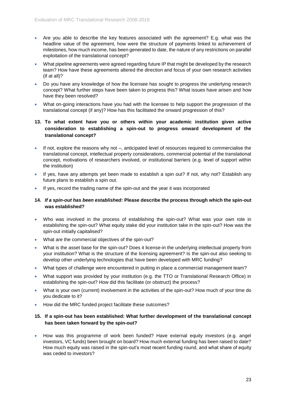- Are you able to describe the key features associated with the agreement? E.g. what was the headline value of the agreement, how were the structure of payments linked to achievement of milestones, how much income, has been generated to date, the nature of any restrictions on parallel exploitation of the translational concept?
- What pipeline agreements were agreed regarding future IP that might be developed by the research team? How have these agreements altered the direction and focus of your own research activities (if at all)?
- Do you have any knowledge of how the licensee has sought to progress the underlying research concept? What further steps have been taken to progress this? What issues have arisen and how have they been resolved?
- What on-going interactions have you had with the licensee to help support the progression of the translational concept (if any)? How has this facilitated the onward progression of this?

## **13. To what extent have you or others within your academic institution given active consideration to establishing a spin-out to progress onward development of the translational concept?**

- If not, explore the reasons why not –, anticipated level of resources required to commercialise the translational concept, intellectual property considerations, commercial potential of the translational concept, motivations of researchers involved, or institutional barriers (e.g. level of support within the institution)
- If yes, have any attempts yet been made to establish a spin out? If not, why not? Establish any future plans to establish a spin out.
- If yes, record the trading name of the spin-out and the year it was incorporated

## **14.** *If a spin-out has been established:* **Please describe the process through which the spin-out was established?**

- Who was involved in the process of establishing the spin-out? What was your own role in establishing the spin-out? What equity stake did your institution take in the spin-out? How was the spin-out initially capitalised?
- What are the commercial objectives of the spin-out?
- What is the asset base for the spin-out? Does it license-in the underlying intellectual property from your institution? What is the structure of the licensing agreement? Is the spin-out also seeking to develop other underlying technologies that have been developed with MRC funding?
- What types of challenge were encountered in putting in place a commercial management team?
- What support was provided by your institution (e.g. the TTO or Translational Research Office) in establishing the spin-out? How did this facilitate (or obstruct) the process?
- What is your own (current) involvement in the activities of the spin-out? How much of your time do you dedicate to it?
- How did the MRC funded project facilitate these outcomes?

## **15. If a spin-out has been established: What further development of the translational concept has been taken forward by the spin-out?**

• How was this programme of work been funded? Have external equity investors (e.g. angel investors, VC funds) been brought on board? How much external funding has been raised to date? How much equity was raised in the spin-out's most recent funding round, and what share of equity was ceded to investors?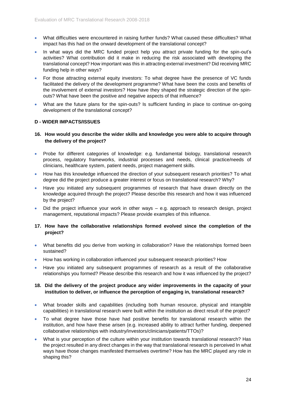- What difficulties were encountered in raising further funds? What caused these difficulties? What impact has this had on the onward development of the translational concept?
- In what ways did the MRC funded project help you attract private funding for the spin-out's activities? What contribution did it make in reducing the risk associated with developing the translational concept? How important was this in attracting external investment? Did receiving MRC funding help in other ways?
- For those attracting external equity investors: To what degree have the presence of VC funds facilitated the delivery of the development programme? What have been the costs and benefits of the involvement of external investors? How have they shaped the strategic direction of the spinouts? What have been the positive and negative aspects of that influence?
- What are the future plans for the spin-outs? Is sufficient funding in place to continue on-going development of the translational concept?

## **D - WIDER IMPACTS/ISSUES**

## **16. How would you describe the wider skills and knowledge you were able to acquire through the delivery of the project?**

- Probe for different categories of knowledge: e.g. fundamental biology, translational research process, regulatory frameworks, industrial processes and needs, clinical practice/needs of clinicians, healthcare system, patient needs, project management skills.
- How has this knowledge influenced the direction of your subsequent research priorities? To what degree did the project produce a greater interest or focus on translational research? Why?
- Have you initiated any subsequent programmes of research that have drawn directly on the knowledge acquired through the project? Please describe this research and how it was influenced by the project?
- Did the project influence your work in other ways  $-$  e.g. approach to research design, project management, reputational impacts? Please provide examples of this influence.

## **17. How have the collaborative relationships formed evolved since the completion of the project?**

- What benefits did you derive from working in collaboration? Have the relationships formed been sustained?
- How has working in collaboration influenced your subsequent research priorities? How
- Have you initiated any subsequent programmes of research as a result of the collaborative relationships you formed? Please describe this research and how it was influenced by the project?

## **18. Did the delivery of the project produce any wider improvements in the capacity of your institution to deliver, or influence the perception of engaging in, translational research?**

- What broader skills and capabilities (including both human resource, physical and intangible capabilities) in translational research were built within the institution as direct result of the project?
- To what degree have those have had positive benefits for translational research within the institution, and how have these arisen (e.g. increased ability to attract further funding, deepened collaborative relationships with industry/investors/clinicians/patients/TTOs)?
- What is your perception of the culture within your institution towards translational research? Has the project resulted in any direct changes in the way that translational research is perceived In what ways have those changes manifested themselves overtime? How has the MRC played any role in shaping this?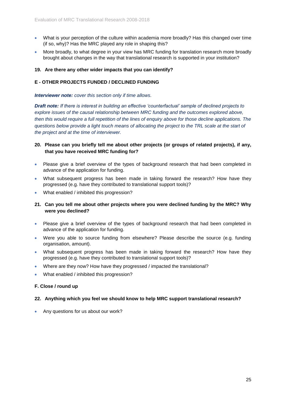- What is your perception of the culture within academia more broadly? Has this changed over time (if so, why)? Has the MRC played any role in shaping this?
- More broadly, to what degree in your view has MRC funding for translation research more broadly brought about changes in the way that translational research is supported in your institution?

#### **19. Are there any other wider impacts that you can identify?**

## **E - OTHER PROJECTS FUNDED / DECLINED FUNDING**

#### *Interviewer note: cover this section only if time allows.*

*Draft note: If there is interest in building an effective 'counterfactual' sample of declined projects to explore issues of the causal relationship between MRC funding and the outcomes explored above, then this would require a full repetition of the lines of enquiry above for those decline applications. The questions below provide a light touch means of allocating the project to the TRL scale at the start of the project and at the time of interviewer.* 

## **20. Please can you briefly tell me about other projects (or groups of related projects), if any, that you have received MRC funding for?**

- Please give a brief overview of the types of background research that had been completed in advance of the application for funding.
- What subsequent progress has been made in taking forward the research? How have they progressed (e.g. have they contributed to translational support tools)?
- What enabled / inhibited this progression?

## **21. Can you tell me about other projects where you were declined funding by the MRC? Why were you declined?**

- Please give a brief overview of the types of background research that had been completed in advance of the application for funding.
- Were you able to source funding from elsewhere? Please describe the source (e.g. funding organisation, amount).
- What subsequent progress has been made in taking forward the research? How have they progressed (e.g. have they contributed to translational support tools)?
- Where are they now? How have they progressed / impacted the translational?
- What enabled / inhibited this progression?

#### **F. Close / round up**

#### **22. Anything which you feel we should know to help MRC support translational research?**

• Any questions for us about our work?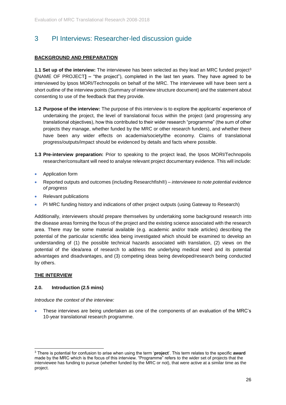## <span id="page-25-0"></span>3 PI Interviews: Researcher-led discussion guide

## **BACKGROUND AND PREPARATION**

**1.1 Set up of the interview:** The interviewee has been selected as they lead an MRC funded project<sup>3</sup> ([NAME OF PROJECT**] –** "the project"), completed in the last ten years. They have agreed to be interviewed by Ipsos MORI/Technopolis on behalf of the MRC. The interviewee will have been sent a short outline of the interview points (Summary of interview structure document) and the statement about consenting to use of the feedback that they provide.

- **1.2 Purpose of the interview:** The purpose of this interview is to explore the applicants' experience of undertaking the project, the level of translational focus within the project (and progressing any translational objectives), how this contributed to their wider research "programme" (the sum of other projects they manage, whether funded by the MRC or other research funders), and whether there have been any wider effects on academia/society/the economy. Claims of translational progress/outputs/impact should be evidenced by details and facts where possible.
- **1.3 Pre-interview preparation:** Prior to speaking to the project lead, the Ipsos MORI/Technopolis researcher/consultant will need to analyse relevant project documentary evidence. This will include:
- Application form
- Reported outputs and outcomes (including Researchfish®) *interviewee to note potential evidence of progress*
- Relevant publications
- PI MRC funding history and indications of other project outputs (using Gateway to Research)

Additionally, interviewers should prepare themselves by undertaking some background research into the disease areas forming the focus of the project and the existing science associated with the research area. There may be some material available (e.g. academic and/or trade articles) describing the potential of the particular scientific idea being investigated which should be examined to develop an understanding of (1) the possible technical hazards associated with translation, (2) views on the potential of the idea/area of research to address the underlying medical need and its potential advantages and disadvantages, and (3) competing ideas being developed/research being conducted by others.

#### **THE INTERVIEW**

1

#### **2.0. Introduction (2.5 mins)**

*Introduce the context of the interview:*

• These interviews are being undertaken as one of the components of an evaluation of the MRC's 10-year translational research programme.

<sup>3</sup> There is potential for confusion to arise when using the term '**project**'. This term relates to the specific **award** made by the MRC which is the focus of this interview. "Programme" refers to the wider set of projects that the interviewee has funding to pursue (whether funded by the MRC or not), that were active at a similar time as the project.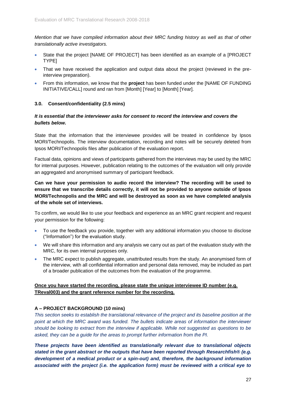*Mention that we have compiled information about their MRC funding history as well as that of other translationally active investigators.*

- State that the project [NAME OF PROJECT] has been identified as an example of a [PROJECT TYPE]
- That we have received the application and output data about the project (reviewed in the preinterview preparation).
- From this information, we know that the **project** has been funded under the [NAME OF FUNDING INITIATIVE/CALL] round and ran from [Month] [Year] to [Month] [Year].

## **3.0. Consent/confidentiality (2.5 mins)**

## *It is essential that the interviewer asks for consent to record the interview and covers the bullets below.*

State that the information that the interviewee provides will be treated in confidence by Ipsos MORI/Technopolis. The interview documentation, recording and notes will be securely deleted from Ipsos MORI/Technopolis files after publication of the evaluation report.

Factual data, opinions and views of participants gathered from the interviews may be used by the MRC for internal purposes. However, publication relating to the outcomes of the evaluation will only provide an aggregated and anonymised summary of participant feedback.

**Can we have your permission to audio record the interview? The recording will be used to ensure that we transcribe details correctly, it will not be provided to anyone outside of Ipsos MORI/Technopolis and the MRC and will be destroyed as soon as we have completed analysis of the whole set of interviews.**

To confirm, we would like to use your feedback and experience as an MRC grant recipient and request your permission for the following:

- To use the feedback you provide, together with any additional information you choose to disclose ("Information") for the evaluation study.
- We will share this information and any analysis we carry out as part of the evaluation study with the MRC, for its own internal purposes only.
- The MRC expect to publish aggregate, unattributed results from the study. An anonymised form of the interview, with all confidential information and personal data removed, may be included as part of a broader publication of the outcomes from the evaluation of the programme.

## **Once you have started the recording, please state the unique interviewee ID number (e.g. TReval003) and the grant reference number for the recording.**

## **A – PROJECT BACKGROUND (10 mins)**

*This section seeks to establish the translational relevance of the project and its baseline position at the point at which the MRC award was funded. The bullets indicate areas of information the interviewer should be looking to extract from the interview if applicable. While not suggested as questions to be asked, they can be a guide for the areas to prompt further information from the PI.*

*These projects have been identified as translationally relevant due to translational objects stated in the grant abstract or the outputs that have been reported through Researchfish® (e.g. development of a medical product or a spin-out) and, therefore, the background information associated with the project (i.e. the application form) must be reviewed with a critical eye to*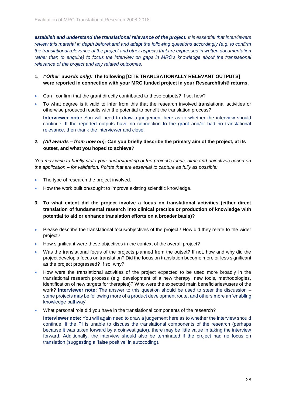*establish and understand the translational relevance of the project. It is essential that interviewers review this material in depth beforehand and adapt the following questions accordingly (e.g. to confirm the translational relevance of the project and other aspects that are expressed in written documentation*  rather than to enquire) to focus the interview on gaps in MRC's knowledge about the translational *relevance of the project and any related outcomes.* 

## **1.** *('Other' awards only):* **The following [CITE TRANLSATIONALLY RELEVANT OUTPUTS] were reported in connection with your MRC funded project in your Researchfish® returns.**

- Can I confirm that the grant directly contributed to these outputs? If so, how?
- To what degree is it valid to infer from this that the research involved translational activities or otherwise produced results with the potential to benefit the translation process?

**Interviewer note:** You will need to draw a judgement here as to whether the interview should continue. If the reported outputs have no connection to the grant and/or had no translational relevance, then thank the interviewer and close.

**2.** *(All awards – from now on):* **Can you briefly describe the primary aim of the project, at its outset, and what you hoped to achieve?**

*You may wish to briefly state your understanding of the project's focus, aims and objectives based on the application – for validation. Points that are essential to capture as fully as possible:*

- The type of research the project involved.
- How the work built on/sought to improve existing scientific knowledge.
- **3. To what extent did the project involve a focus on translational activities (either direct translation of fundamental research into clinical practice or production of knowledge with potential to aid or enhance translation efforts on a broader basis)?**
- Please describe the translational focus/objectives of the project? How did they relate to the wider project?
- How significant were these objectives in the context of the overall project?
- Was the translational focus of the projects planned from the outset? If not, how and why did the project develop a focus on translation? Did the focus on translation become more or less significant as the project progressed? If so, why?
- How were the translational activities of the project expected to be used more broadly in the translational research process (e.g. development of a new therapy, new tools, methodologies, identification of new targets for therapies)? Who were the expected main beneficiaries/users of the work? **Interviewer note:** The answer to this question should be used to steer the discussion – some projects may be following more of a product development route, and others more an 'enabling knowledge pathway'.
- What personal role did you have in the translational components of the research?

**Interviewer note:** You will again need to draw a judgement here as to whether the interview should continue. If the PI is unable to discuss the translational components of the research (perhaps because it was taken forward by a coinvestigator), there may be little value in taking the interview forward. Additionally, the interview should also be terminated if the project had no focus on translation (suggesting a 'false positive' in autocoding).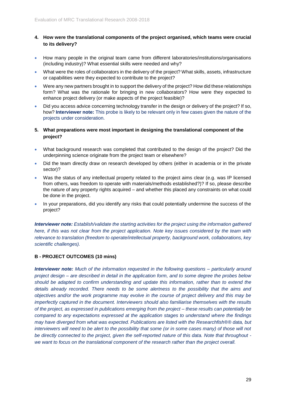## **4. How were the translational components of the project organised, which teams were crucial to its delivery?**

- How many people in the original team came from different laboratories/institutions/organisations (including industry)? What essential skills were needed and why?
- What were the roles of collaborators in the delivery of the project? What skills, assets, infrastructure or capabilities were they expected to contribute to the project?
- Were any new partners brought in to support the delivery of the project? How did these relationships form? What was the rationale for bringing in new collaborators? How were they expected to enhance project delivery (or make aspects of the project feasible)?
- Did you access advice concerning technology transfer in the design or delivery of the project? If so, how? **Interviewer note:** This probe is likely to be relevant only in few cases given the nature of the projects under consideration.
- **5. What preparations were most important in designing the translational component of the project?**
- What background research was completed that contributed to the design of the project? Did the underpinning science originate from the project team or elsewhere?
- Did the team directly draw on research developed by others (either in academia or in the private sector)?
- Was the status of any intellectual property related to the project aims clear (e.g. was IP licensed from others, was freedom to operate with materials/methods established?)? If so, please describe the nature of any property rights acquired – and whether this placed any constraints on what could be done in the project.
- In your preparations, did you identify any risks that could potentially undermine the success of the project?

*Interviewer note: Establish/validate the starting activities for the project using the information gathered here, if this was not clear from the project application. Note key issues considered by the team with relevance to translation (freedom to operate/intellectual property, background work, collaborations, key scientific challenges).*

## **B - PROJECT OUTCOMES (10 mins)**

*Interviewer note: Much of the information requested in the following questions – particularly around project design – are described in detail in the application form, and to some degree the probes below should be adapted to confirm understanding and update this information, rather than to extend the details already recorded. There needs to be some alertness to the possibility that the aims and objectives and/or the work programme may evolve in the course of project delivery and this may be imperfectly captured in the document. Interviewers should also familiarise themselves with the results of the project, as expressed in publications emerging from the project – these results can potentially be compared to any expectations expressed at the application stages to understand where the findings may have diverged from what was expected. Publications are listed with the Researchfish®® data, but interviewers will need to be alert to the possibility that some (or in some cases many) of those will not be directly connected to the project, given the self-reported nature of this data. Note that throughout we want to focus on the translational component of the research rather than the project overall.*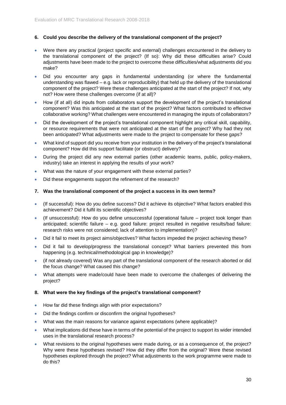## **6. Could you describe the delivery of the translational component of the project?**

- Were there any practical (project specific and external) challenges encountered in the delivery to the translational component of the project? (If so): Why did these difficulties arise? Could adjustments have been made to the project to overcome these difficulties/what adjustments did you make?
- Did you encounter any gaps in fundamental understanding (or where the fundamental understanding was flawed – e.g. lack or reproducibility) that held up the delivery of the translational component of the project? Were these challenges anticipated at the start of the project? If not, why not? How were these challenges overcome (if at all)?
- How (if at all) did inputs from collaborators support the development of the project's translational component? Was this anticipated at the start of the project? What factors contributed to effective collaborative working? What challenges were encountered in managing the inputs of collaborators?
- Did the development of the project's translational component highlight any critical skill, capability, or resource requirements that were not anticipated at the start of the project? Why had they not been anticipated? What adjustments were made to the project to compensate for these gaps?
- What kind of support did you receive from your institution in the delivery of the project's translational component? How did this support facilitate (or obstruct) delivery?
- During the project did any new external parties (other academic teams, public, policy-makers, industry) take an interest in applying the results of your work?
- What was the nature of your engagement with these external parties?
- Did these engagements support the refinement of the research?

#### **7. Was the translational component of the project a success in its own terms?**

- (If successful): How do you define success? Did it achieve its objective? What factors enabled this achievement? Did it fulfil its scientific objectives?
- (If unsuccessful): How do you define unsuccessful (operational failure project took longer than anticipated; scientific failure – e.g. good failure: project resulted in negative results/bad failure: research risks were not considered; lack of attention to implementation)?
- Did it fail to meet its project aims/objectives? What factors impeded the project achieving these?
- Did it fail to develop/progress the translational concept? What barriers prevented this from happening (e.g. technical/methodological gap in knowledge)?
- (if not already covered) Was any part of the translational component of the research aborted or did the focus change? What caused this change?
- What attempts were made/could have been made to overcome the challenges of delivering the project?

## **8. What were the key findings of the project's translational component?**

- How far did these findings align with prior expectations?
- Did the findings confirm or disconfirm the original hypotheses?
- What was the main reasons for variance against expectations (where applicable)?
- What implications did these have in terms of the potential of the project to support its wider intended uses in the translational research process?
- What revisions to the original hypotheses were made during, or as a consequence of, the project? Why were these hypotheses revised? How did they differ from the original? Were these revised hypotheses explored through the project? What adjustments to the work programme were made to do this?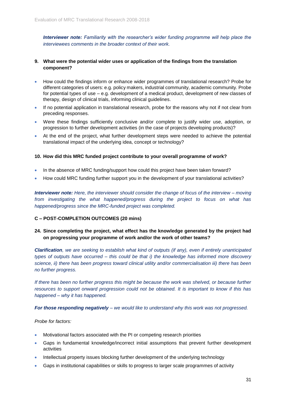*Interviewer note: Familiarity with the researcher's wider funding programme will help place the interviewees comments in the broader context of their work.*

## **9. What were the potential wider uses or application of the findings from the translation component?**

- How could the findings inform or enhance wider programmes of translational research? Probe for different categories of users: e.g. policy makers, industrial community, academic community. Probe for potential types of use – e.g. development of a medical product, development of new classes of therapy, design of clinical trials, informing clinical guidelines.
- If no potential application in translational research, probe for the reasons why not if not clear from preceding responses.
- Were these findings sufficiently conclusive and/or complete to justify wider use, adoption, or progression to further development activities (in the case of projects developing products)?
- At the end of the project, what further development steps were needed to achieve the potential translational impact of the underlying idea, concept or technology?

#### **10. How did this MRC funded project contribute to your overall programme of work?**

- In the absence of MRC funding/support how could this project have been taken forward?
- How could MRC funding further support you in the development of your translational activities?

*Interviewer note: Here, the interviewer should consider the change of focus of the interview – moving from investigating the what happened/progress during the project to focus on what has happened/progress since the MRC-funded project was completed.*

## **C – POST-COMPLETION OUTCOMES (20 mins)**

## **24. Since completing the project, what effect has the knowledge generated by the project had on progressing your programme of work and/or the work of other teams?**

*Clarification, we are seeking to establish what kind of outputs (if any), even if entirely unanticipated types of outputs have occurred – this could be that i) the knowledge has informed more discovery science, ii) there has been progress toward clinical utility and/or commercialisation iii) there has been no further progress.*

*If there has been no further progress this might be because the work was shelved, or because further resources to support onward progression could not be obtained. It is important to know if this has happened – why it has happened.*

*For those responding negatively – we would like to understand why this work was not progressed.* 

#### *Probe for factors:*

- Motivational factors associated with the PI or competing research priorities
- Gaps in fundamental knowledge/incorrect initial assumptions that prevent further development activities
- Intellectual property issues blocking further development of the underlying technology
- Gaps in institutional capabilities or skills to progress to larger scale programmes of activity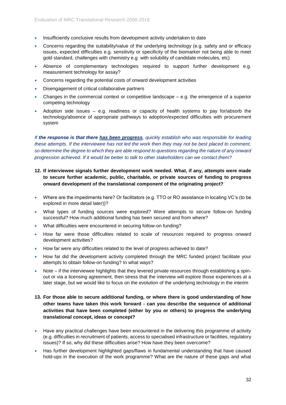- Insufficiently conclusive results from development activity undertaken to date
- Concerns regarding the suitability/value of the underlying technology (e.g. safety and or efficacy issues, expected difficulties e.g. sensitivity or specificity of the biomarker not being able to meet gold standard, challenges with chemistry e.g. with solubility of candidate molecules, etc)
- Absence of complementary technologies required to support further development e.g. measurement technology for assay?
- Concerns regarding the potential costs of onward development activities
- Disengagement of critical collaborative partners
- Changes in the commercial context or competitive landscape e.g. the emergence of a superior competing technology
- Adoption side issues  $-$  e.g. readiness or capacity of health systems to pay for/absorb the technology/absence of appropriate pathways to adoption/expected difficulties with procurement system

*If the response is that there has been progress, quickly establish who was responsible for leading these attempts. If the interviewee has not led the work then they may not be best placed to comment, so determine the degree to which they are able respond to questions regarding the nature of any onward progression achieved. If it would be better to talk to other stakeholders can we contact them?* 

- **12. If interviewee signals further development work needed. What, if any, attempts were made to secure further academic, public, charitable, or private sources of funding to progress onward development of the translational component of the originating project?**
- Where are the impediments here? Or facilitators (e.g. TTO or RO assistance in locating VC's (to be explored in more detail later))?
- What types of funding sources were explored? Were attempts to secure follow-on funding successful? How much additional funding has been secured and from where?
- What difficulties were encountered in securing follow-on funding?
- How far were those difficulties related to scale of resources required to progress onward development activities?
- How far were any difficulties related to the level of progress achieved to date?
- How far did the development activity completed through the MRC funded project facilitate your attempts to obtain follow-on funding? In what ways?
- Note if the interviewee highlights that they levered private resources through establishing a spinout or via a licensing agreement, then stress that the interview will explore those experiences at a later stage, but we would like to focus on the evolution of the underlying technology in the interim
- **13. For those able to secure additional funding, or where there is good understanding of how other teams have taken this work forward - can you describe the sequence of additional activities that have been completed (either by you or others) to progress the underlying translational concept, ideas or concept?**
- Have any practical challenges have been encountered in the delivering this programme of activity (e.g. difficulties in recruitment of patients, access to specialised infrastructure or facilities, regulatory issues)? If so, why did these difficulties arise? How have they been overcome?
- Has further development highlighted gaps/flaws in fundamental understanding that have caused hold-ups in the execution of the work programme? What are the nature of these gaps and what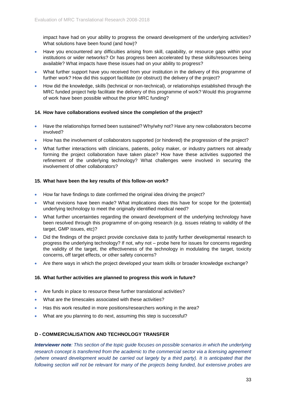impact have had on your ability to progress the onward development of the underlying activities? What solutions have been found (and how)?

- Have you encountered any difficulties arising from skill, capability, or resource gaps within your institutions or wider networks? Or has progress been accelerated by these skills/resources being available? What impacts have these issues had on your ability to progress?
- What further support have you received from your institution in the delivery of this programme of further work? How did this support facilitate (or obstruct) the delivery of the project?
- How did the knowledge, skills (technical or non-technical), or relationships established through the MRC funded project help facilitate the delivery of this programme of work? Would this programme of work have been possible without the prior MRC funding?

#### **14. How have collaborations evolved since the completion of the project?**

- Have the relationships formed been sustained? Why/why not? Have any new collaborators become involved?
- How has the involvement of collaborators supported (or hindered) the progression of the project?
- What further interactions with clinicians, patients, policy maker, or industry partners not already forming the project collaboration have taken place? How have these activities supported the refinement of the underlying technology? What challenges were involved in securing the involvement of other collaborators?

#### **15. What have been the key results of this follow-on work?**

- How far have findings to date confirmed the original idea driving the project?
- What revisions have been made? What implications does this have for scope for the (potential) underlying technology to meet the originally identified medical need?
- What further uncertainties regarding the onward development of the underlying technology have been resolved through this programme of on-going research (e.g. issues relating to validity of the target, GMP issues, etc)?
- Did the findings of the project provide conclusive data to justify further developmental research to progress the underlying technology? If not, why not – probe here for issues for concerns regarding the validity of the target, the effectiveness of the technology in modulating the target, toxicity concerns, off target effects, or other safety concerns?
- Are there ways in which the project developed your team skills or broader knowledge exchange?

## **16. What further activities are planned to progress this work in future?**

- Are funds in place to resource these further translational activities?
- What are the timescales associated with these activities?
- Has this work resulted in more positions/researchers working in the area?
- What are you planning to do next, assuming this step is successful?

## **D - COMMERCIALISATION AND TECHNOLOGY TRANSFER**

*Interviewer note: This section of the topic guide focuses on possible scenarios in which the underlying research concept is transferred from the academic to the commercial sector via a licensing agreement (where onward development would be carried out largely by a third party). It is anticipated that the following section will not be relevant for many of the projects being funded, but extensive probes are*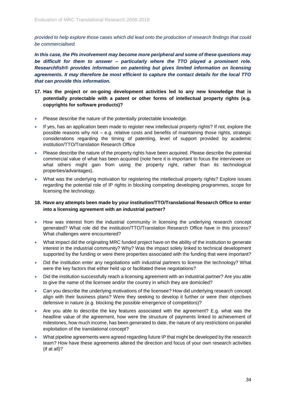*provided to help explore those cases which did lead onto the production of research findings that could be commercialised.* 

*In this case, the PIs involvement may become more peripheral and some of these questions may be difficult for them to answer – particularly where the TTO played a prominent role. Researchfish® provides information on patenting but gives limited information on licensing agreements. It may therefore be most efficient to capture the contact details for the local TTO that can provide this information.*

- **17. Has the project or on-going development activities led to any new knowledge that is potentially protectable with a patent or other forms of intellectual property rights (e.g. copyrights for software products)?**
- Please describe the nature of the potentially protectable knowledge.
- If yes, has an application been made to register new intellectual property rights? If not, explore the possible reasons why not – e.g. relative costs and benefits of maintaining those rights, strategic considerations regarding the timing of patenting, level of support provided by academic institution/TTO/Translation Research Office
- Please describe the nature of the property rights have been acquired. Please describe the potential commercial value of what has been acquired (note here it is important to focus the interviewee on what others might gain from using the property right, rather than its technological properties/advantages).
- What was the underlying motivation for registering the intellectual property rights? Explore issues regarding the potential role of IP rights in blocking competing developing programmes, scope for licensing the technology.

## **18. Have any attempts been made by your institution/TTO/Translational Research Office to enter into a licensing agreement with an industrial partner?**

- How was interest from the industrial community in licensing the underlying research concept generated? What role did the institution/TTO/Translation Research Office have in this process? What challenges were encountered?
- What impact did the originating MRC funded project have on the ability of the institution to generate interest in the industrial community? Why? Was the impact solely linked to technical development supported by the funding or were there properties associated with the funding that were important?
- Did the institution enter any negotiations with industrial partners to license the technology? What were the key factors that either held up or facilitated these negotiations?
- Did the institution successfully reach a licensing agreement with an industrial partner? Are you able to give the name of the licensee and/or the country in which they are domiciled?
- Can you describe the underlying motivations of the licensee? How did underlying research concept align with their business plans? Were they seeking to develop it further or were their objectives defensive in nature (e.g. blocking the possible emergence of competitors)?
- Are you able to describe the key features associated with the agreement? E.g. what was the headline value of the agreement, how were the structure of payments linked to achievement of milestones, how much income, has been generated to date, the nature of any restrictions on parallel exploitation of the translational concept?
- What pipeline agreements were agreed regarding future IP that might be developed by the research team? How have these agreements altered the direction and focus of your own research activities (if at all)?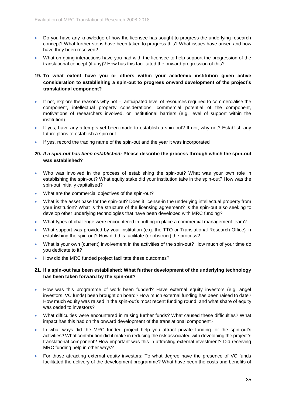- Do you have any knowledge of how the licensee has sought to progress the underlying research concept? What further steps have been taken to progress this? What issues have arisen and how have they been resolved?
- What on-going interactions have you had with the licensee to help support the progression of the translational concept (if any)? How has this facilitated the onward progression of this?

## **19. To what extent have you or others within your academic institution given active consideration to establishing a spin-out to progress onward development of the project's translational component?**

- If not, explore the reasons why not –, anticipated level of resources required to commercialise the component, intellectual property considerations, commercial potential of the component, motivations of researchers involved, or institutional barriers (e.g. level of support within the institution)
- If yes, have any attempts yet been made to establish a spin out? If not, why not? Establish any future plans to establish a spin out.
- If yes, record the trading name of the spin-out and the year it was incorporated

## **20.** *If a spin-out has been established:* **Please describe the process through which the spin-out was established?**

- Who was involved in the process of establishing the spin-out? What was your own role in establishing the spin-out? What equity stake did your institution take in the spin-out? How was the spin-out initially capitalised?
- What are the commercial objectives of the spin-out?
- What is the asset base for the spin-out? Does it license-in the underlying intellectual property from your institution? What is the structure of the licensing agreement? Is the spin-out also seeking to develop other underlying technologies that have been developed with MRC funding?
- What types of challenge were encountered in putting in place a commercial management team?
- What support was provided by your institution (e.g. the TTO or Translational Research Office) in establishing the spin-out? How did this facilitate (or obstruct) the process?
- What is your own (current) involvement in the activities of the spin-out? How much of your time do you dedicate to it?
- How did the MRC funded project facilitate these outcomes?

## **21. If a spin-out has been established: What further development of the underlying technology has been taken forward by the spin-out?**

- How was this programme of work been funded? Have external equity investors (e.g. angel investors, VC funds) been brought on board? How much external funding has been raised to date? How much equity was raised in the spin-out's most recent funding round, and what share of equity was ceded to investors?
- What difficulties were encountered in raising further funds? What caused these difficulties? What impact has this had on the onward development of the translational component?
- In what ways did the MRC funded project help you attract private funding for the spin-out's activities? What contribution did it make in reducing the risk associated with developing the project's translational component? How important was this in attracting external investment? Did receiving MRC funding help in other ways?
- For those attracting external equity investors: To what degree have the presence of VC funds facilitated the delivery of the development programme? What have been the costs and benefits of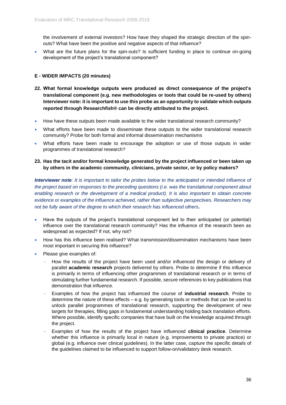the involvement of external investors? How have they shaped the strategic direction of the spinouts? What have been the positive and negative aspects of that influence?

• What are the future plans for the spin-outs? Is sufficient funding in place to continue on-going development of the project's translational component?

## **E - WIDER IMPACTS (20 minutes)**

- **22. What formal knowledge outputs were produced as direct consequence of the project's translational component (e.g. new methodologies or tools that could be re-used by others) Interviewer note: it is important to use this probe as an opportunity to validate which outputs reported through Researchfish® can be directly attributed to the project.**
- How have these outputs been made available to the wider translational research community?
- What efforts have been made to disseminate these outputs to the wider translational research community? Probe for both formal and informal dissemination mechanisms
- What efforts have been made to encourage the adoption or use of those outputs in wider programmes of translational research?

## **23. Has the tacit and/or formal knowledge generated by the project influenced or been taken up by others in the academic community, clinicians, private sector, or by policy makers?**

*Interviewer note: It is important to tailor the probes below to the anticipated or intended influence of the project based on responses to the preceding questions (i.e. was the translational component about enabling research or the development of a medical product). It is also important to obtain concrete evidence or examples of the influence achieved, rather than subjective perspectives. Researchers may not be fully aware of the degree to which their research has influenced others***.** 

- Have the outputs of the project's translational component led to their anticipated (or potential) influence over the translational research community? Has the influence of the research been as widespread as expected? If not, why not?
- How has this influence been realised? What transmission/dissemination mechanisms have been most important in securing this influence?
- Please give examples of:
	- How the results of the project have been used and/or influenced the design or delivery of parallel **academic research** projects delivered by others. Probe to determine if this influence is primarily in terms of influencing other programmes of translational research or in terms of stimulating further fundamental research. If possible, secure references to key publications that demonstration that influence.
	- Examples of how the project has influenced the course of **industrial research**. Probe to determine the nature of these effects – e.g. by generating tools or methods that can be used to unlock parallel programmes of translational research, supporting the development of new targets for therapies, filling gaps in fundamental understanding holding back translation efforts. Where possible, identify specific companies that have built on the knowledge acquired through the project.
	- Examples of how the results of the project have influenced **clinical practice**. Determine whether this influence is primarily local in nature (e.g. improvements to private practice) or global (e.g. influence over clinical guidelines). In the latter case, capture the specific details of the guidelines claimed to be influenced to support follow-on/validatory desk research.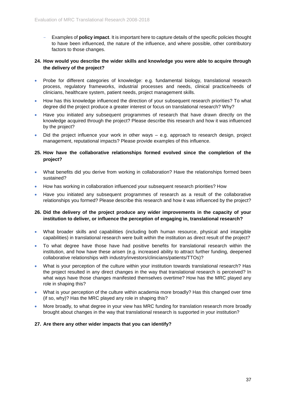- Examples of **policy impact**. It is important here to capture details of the specific policies thought to have been influenced, the nature of the influence, and where possible, other contributory factors to those changes.

## **24. How would you describe the wider skills and knowledge you were able to acquire through the delivery of the project?**

- Probe for different categories of knowledge: e.g. fundamental biology, translational research process, regulatory frameworks, industrial processes and needs, clinical practice/needs of clinicians, healthcare system, patient needs, project management skills.
- How has this knowledge influenced the direction of your subsequent research priorities? To what degree did the project produce a greater interest or focus on translational research? Why?
- Have you initiated any subsequent programmes of research that have drawn directly on the knowledge acquired through the project? Please describe this research and how it was influenced by the project?
- Did the project influence your work in other ways e.g. approach to research design, project management, reputational impacts? Please provide examples of this influence.

## **25. How have the collaborative relationships formed evolved since the completion of the project?**

- What benefits did you derive from working in collaboration? Have the relationships formed been sustained?
- How has working in collaboration influenced your subsequent research priorities? How
- Have you initiated any subsequent programmes of research as a result of the collaborative relationships you formed? Please describe this research and how it was influenced by the project?

## **26. Did the delivery of the project produce any wider improvements in the capacity of your institution to deliver, or influence the perception of engaging in, translational research?**

- What broader skills and capabilities (including both human resource, physical and intangible capabilities) in translational research were built within the institution as direct result of the project?
- To what degree have those have had positive benefits for translational research within the institution, and how have these arisen (e.g. increased ability to attract further funding, deepened collaborative relationships with industry/investors/clinicians/patients/TTOs)?
- What is your perception of the culture within your institution towards translational research? Has the project resulted in any direct changes in the way that translational research is perceived? In what ways have those changes manifested themselves overtime? How has the MRC played any role in shaping this?
- What is your perception of the culture within academia more broadly? Has this changed over time (if so, why)? Has the MRC played any role in shaping this?
- More broadly, to what degree in your view has MRC funding for translation research more broadly brought about changes in the way that translational research is supported in your institution?

## **27. Are there any other wider impacts that you can identify?**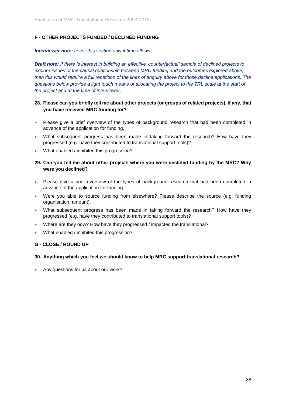## **F - OTHER PROJECTS FUNDED / DECLINED FUNDING**

*Interviewer note: cover this section only if time allows.*

*Draft note: If there is interest in building an effective 'counterfactual' sample of declined projects to explore issues of the causal relationship between MRC funding and the outcomes explored above, then this would require a full repetition of the lines of enquiry above for those decline applications. The questions below provide a light touch means of allocating the project to the TRL scale at the start of the project and at the time of interviewer.* 

## **28. Please can you briefly tell me about other projects (or groups of related projects), if any, that you have received MRC funding for?**

- Please give a brief overview of the types of background research that had been completed in advance of the application for funding.
- What subsequent progress has been made in taking forward the research? How have they progressed (e.g. have they contributed to translational support tools)?
- What enabled / inhibited this progression?

## **29. Can you tell me about other projects where you were declined funding by the MRC? Why were you declined?**

- Please give a brief overview of the types of background research that had been completed in advance of the application for funding.
- Were you able to source funding from elsewhere? Please describe the source (e.g. funding organisation, amount).
- What subsequent progress has been made in taking forward the research? How have they progressed (e.g. have they contributed to translational support tools)?
- Where are they now? How have they progressed / impacted the translational?
- What enabled / inhibited this progression?

## **G - CLOSE / ROUND UP**

## **30. Anything which you feel we should know to help MRC support translational research?**

• Any questions for us about our work?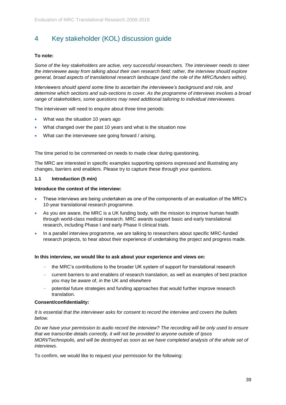# <span id="page-38-0"></span>4 Key stakeholder (KOL) discussion guide

## **To note:**

*Some of the key stakeholders are active, very successful researchers. The interviewer needs to steer the interviewee away from talking about their own research field; rather, the interview should explore general, broad aspects of translational research landscape (and the role of the MRC/funders within).*

*Interviewers should spend some time to ascertain the interviewee's background and role, and determine which sections and sub-sections to cover. As the programme of interviews involves a broad range of stakeholders, some questions may need additional tailoring to individual interviewees.* 

The interviewer will need to enquire about three time periods:

- What was the situation 10 years ago
- What changed over the past 10 years and what is the situation now
- What can the interviewee see going forward / arising.

The time period to be commented on needs to made clear during questioning.

The MRC are interested in specific examples supporting opinions expressed and illustrating any changes, barriers and enablers. Please try to capture these through your questions.

## **1.1 Introduction (5 min)**

#### **Introduce the context of the interview:**

- These interviews are being undertaken as one of the components of an evaluation of the MRC's 10-year translational research programme.
- As you are aware, the MRC is a UK funding body, with the mission to improve human health through world-class medical research. MRC awards support basic and early translational research, including Phase I and early Phase II clinical trials.
- In a parallel interview programme, we are talking to researchers about specific MRC-funded research projects, to hear about their experience of undertaking the project and progress made.

#### **In this interview, we would like to ask about your experience and views on:**

- the MRC's contributions to the broader UK system of support for translational research
- current barriers to and enablers of research translation, as well as examples of best practice you may be aware of, in the UK and elsewhere
- potential future strategies and funding approaches that would further improve research translation.

#### **Consent/confidentiality:**

*It is essential that the interviewer asks for consent to record the interview and covers the bullets below.*

*Do we have your permission to audio record the interview? The recording will be only used to ensure that we transcribe details correctly, it will not be provided to anyone outside of Ipsos MORI/Technopolis, and will be destroyed as soon as we have completed analysis of the whole set of interviews.*

To confirm, we would like to request your permission for the following: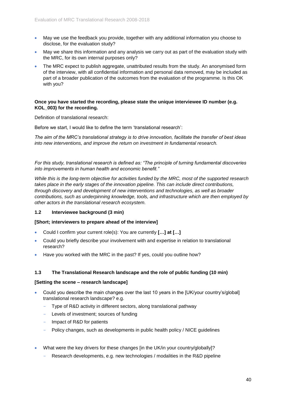- May we use the feedback you provide, together with any additional information you choose to disclose, for the evaluation study?
- May we share this information and any analysis we carry out as part of the evaluation study with the MRC, for its own internal purposes only?
- The MRC expect to publish aggregate, unattributed results from the study. An anonymised form of the interview, with all confidential information and personal data removed, may be included as part of a broader publication of the outcomes from the evaluation of the programme. Is this OK with you?

#### **Once you have started the recording, please state the unique interviewee ID number (e.g. KOL\_003) for the recording.**

Definition of translational research:

Before we start, I would like to define the term 'translational research':

*The aim of the MRC's translational strategy is to drive innovation, facilitate the transfer of best ideas into new interventions, and improve the return on investment in fundamental research.* 

*For this study, translational research is defined as: "The principle of turning fundamental discoveries into improvements in human health and economic benefit."* 

*While this is the long-term objective for activities funded by the MRC, most of the supported research takes place in the early stages of the innovation pipeline. This can include direct contributions, through discovery and development of new interventions and technologies, as well as broader contributions, such as underpinning knowledge, tools, and infrastructure which are then employed by other actors in the translational research ecosystem.*

## **1.2 Interviewee background (3 min)**

## **[Short; interviewers to prepare ahead of the interview]**

- Could I confirm your current role(s): You are currently **[…] at […]**
- Could you briefly describe your involvement with and expertise in relation to translational research?
- Have you worked with the MRC in the past? If yes, could you outline how?

## **1.3 The Translational Research landscape and the role of public funding (10 min)**

## **[Setting the scene – research landscape]**

- Could you describe the main changes over the last 10 years in the [UK/your country's/global] translational research landscape? e.g.
	- Type of R&D activity in different sectors, along translational pathway
	- Levels of investment; sources of funding
	- Impact of R&D for patients
	- Policy changes, such as developments in public health policy / NICE guidelines
- What were the key drivers for these changes [in the UK/in your country/globally]?
	- Research developments, e.g. new technologies / modalities in the R&D pipeline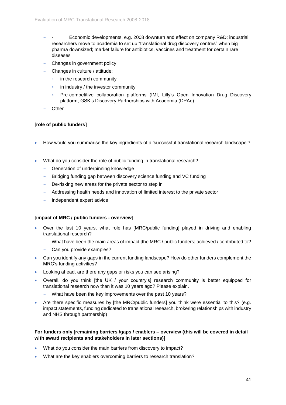- Economic developments, e.g. 2008 downturn and effect on company R&D; industrial researchers move to academia to set up "translational drug discovery centres" when big pharma downsized; market failure for antibiotics, vaccines and treatment for certain rare diseases
- Changes in government policy
- Changes in culture / attitude:
	- $\circ$ in the research community
	- in industry / the investor community  $\ddot{\mathbf{o}}$
	- Pre-competitive collaboration platforms (IMI, Lilly's Open Innovation Drug Discovery  $\ddot{\phantom{0}}$ platform, GSK's Discovery Partnerships with Academia (DPAc)
- **Other**

## **[role of public funders]**

- How would you summarise the key ingredients of a 'successful translational research landscape'?
- What do you consider the role of public funding in translational research?
	- Generation of underpinning knowledge
	- Bridging funding gap between discovery science funding and VC funding
	- De-risking new areas for the private sector to step in
	- Addressing health needs and innovation of limited interest to the private sector
	- Independent expert advice

#### **[impact of MRC / public funders - overview]**

- Over the last 10 years, what role has [MRC/public funding] played in driving and enabling translational research?
	- What have been the main areas of impact [the MRC / public funders] achieved / contributed to?
	- Can you provide examples?
- Can you identify any gaps in the current funding landscape? How do other funders complement the MRC's funding activities?
- Looking ahead, are there any gaps or risks you can see arising?
- Overall, do you think [the UK / your country's] research community is better equipped for translational research now than it was 10 years ago? Please explain.
	- What have been the key improvements over the past 10 years?
- Are there specific measures by [the MRC/public funders] you think were essential to this? (e.g. impact statements, funding dedicated to translational research, brokering relationships with industry and NHS through partnership)

## **For funders only [remaining barriers /gaps / enablers – overview (this will be covered in detail with award recipients and stakeholders in later sections)]**

- What do you consider the main barriers from discovery to impact?
- What are the key enablers overcoming barriers to research translation?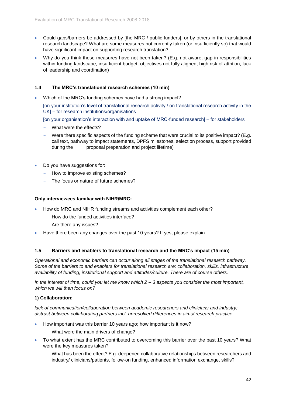- Could gaps/barriers be addressed by [the MRC / public funders], or by others in the translational research landscape? What are some measures not currently taken (or insufficiently so) that would have significant impact on supporting research translation?
- Why do you think these measures have not been taken? (E.g. not aware, gap in responsibilities within funding landscape, insufficient budget, objectives not fully aligned, high risk of attrition, lack of leadership and coordination)

## **1.4 The MRC's translational research schemes (10 min)**

• Which of the MRC's funding schemes have had a strong impact?

[on your institution's level of translational research activity / on translational research activity in the UK] – for research institutions/organisations

[on your organisation's interaction with and uptake of MRC-funded research] – for stakeholders

- What were the effects?
- Were there specific aspects of the funding scheme that were crucial to its positive impact? (E.g. call text, pathway to impact statements, DPFS milestones, selection process, support provided during the proposal preparation and project lifetime)
- Do you have suggestions for:
	- How to improve existing schemes?
	- The focus or nature of future schemes?

#### **Only interviewees familiar with NIHR/MRC:**

- How do MRC and NIHR funding streams and activities complement each other?
	- How do the funded activities interface?
	- Are there any issues?
- Have there been any changes over the past 10 years? If yes, please explain.

#### **1.5 Barriers and enablers to translational research and the MRC's impact (15 min)**

*Operational and economic barriers can occur along all stages of the translational research pathway. Some of the barriers to and enablers for translational research are: collaboration, skills, infrastructure, availability of funding, institutional support and attitudes/culture. There are of course others.* 

*In the interest of time, could you let me know which 2 – 3 aspects you consider the most important, which we will then focus on?* 

#### **1) Collaboration:**

*lack of communication/collaboration between academic researchers and clinicians and industry; distrust between collaborating partners incl. unresolved differences in aims/ research practice*

- How important was this barrier 10 years ago; how important is it now?
	- What were the main drivers of change?
- To what extent has the MRC contributed to overcoming this barrier over the past 10 years? What were the key measures taken?
	- What has been the effect? E.g. deepened collaborative relationships between researchers and industry/ clinicians/patients, follow-on funding, enhanced information exchange, skills?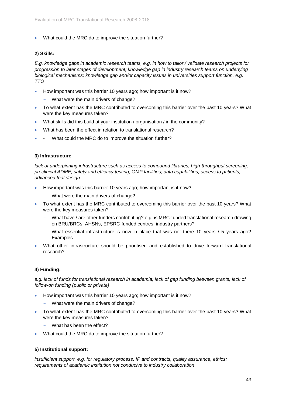• What could the MRC do to improve the situation further?

## **2) Skills:**

*E.g. knowledge gaps in academic research teams, e.g. in how to tailor / validate research projects for progression to later stages of development; knowledge gap in industry research teams on underlying biological mechanisms; knowledge gap and/or capacity issues in universities support function, e.g. TTO*

- How important was this barrier 10 years ago; how important is it now?
	- What were the main drivers of change?
- To what extent has the MRC contributed to overcoming this barrier over the past 10 years? What were the key measures taken?
- What skills did this build at your institution / organisation / in the community?
- What has been the effect in relation to translational research?
- What could the MRC do to improve the situation further?

## **3) Infrastructure**:

*lack of underpinning infrastructure such as access to compound libraries, high-throughput screening, preclinical ADME, safety and efficacy testing, GMP facilities; data capabilities, access to patients, advanced trial design*

- How important was this barrier 10 years ago; how important is it now?
	- What were the main drivers of change?
- To what extent has the MRC contributed to overcoming this barrier over the past 10 years? What were the key measures taken?
	- What have / are other funders contributing? e.g. is MRC-funded translational research drawing on BRU/BRCs, AHSNs, EPSRC-funded centres, industry partners?
	- What essential infrastructure is now in place that was not there 10 years / 5 years ago? Examples
- What other infrastructure should be prioritised and established to drive forward translational research?

## **4) Funding:**

*e.g. lack of funds for translational research in academia; lack of gap funding between grants; lack of follow-on funding (public or private)*

- How important was this barrier 10 years ago; how important is it now?
	- What were the main drivers of change?
- To what extent has the MRC contributed to overcoming this barrier over the past 10 years? What were the key measures taken?
	- What has been the effect?
- What could the MRC do to improve the situation further?

## **5) Institutional support:**

*insufficient support, e.g. for regulatory process, IP and contracts, quality assurance, ethics; requirements of academic institution not conducive to industry collaboration*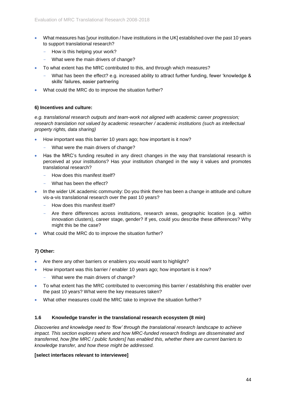- What measures has [your institution / have institutions in the UK] established over the past 10 years to support translational research?
	- How is this helping your work?
	- What were the main drivers of change?
- To what extent has the MRC contributed to this, and through which measures?
	- What has been the effect? e.g. increased ability to attract further funding, fewer 'knowledge & skills' failures, easier partnering
- What could the MRC do to improve the situation further?

#### **6) Incentives and culture:**

*e.g. translational research outputs and team-work not aligned with academic career progression; research translation not valued by academic researcher / academic institutions (such as intellectual property rights, data sharing)*

- How important was this barrier 10 years ago; how important is it now?
	- What were the main drivers of change?
- Has the MRC's funding resulted in any direct changes in the way that translational research is perceived at your institutions? Has your institution changed in the way it values and promotes translational research?
	- How does this manifest itself?
	- What has been the effect?
- In the wider UK academic community: Do you think there has been a change in attitude and culture vis-a-vis translational research over the past 10 years?
	- How does this manifest itself?
	- Are there differences across institutions, research areas, geographic location (e.g. within innovation clusters), career stage, gender? If yes, could you describe these differences? Why might this be the case?
- What could the MRC do to improve the situation further?

## **7) Other:**

- Are there any other barriers or enablers you would want to highlight?
- How important was this barrier / enabler 10 years ago; how important is it now?
	- What were the main drivers of change?
- To what extent has the MRC contributed to overcoming this barrier / establishing this enabler over the past 10 years? What were the key measures taken?
- What other measures could the MRC take to improve the situation further?

#### **1.6 Knowledge transfer in the translational research ecosystem (8 min)**

*Discoveries and knowledge need to 'flow' through the translational research landscape to achieve impact. This section explores where and how MRC-funded research findings are disseminated and transferred, how [the MRC / public funders] has enabled this, whether there are current barriers to knowledge transfer, and how these might be addressed.* 

#### **[select interfaces relevant to interviewee]**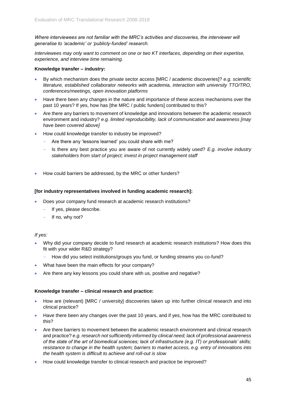*Where interviewees are not familiar with the MRC's activities and discoveries, the interviewer will generalise to 'academic' or 'publicly-funded' research.* 

*Interviewees may only want to comment on one or two KT interfaces, depending on their expertise, experience, and interview time remaining.*

#### **Knowledge transfer – industry:**

- By which mechanism does the private sector access [MRC / academic discoveries]? *e.g. scientific literature, established collaborator networks with academia, interaction with university TTO/TRO, conferences/meetings, open innovation platforms*
- Have there been any changes in the nature and importance of these access mechanisms over the past 10 years? If yes, how has [the MRC / public funders] contributed to this?
- Are there any barriers to movement of knowledge and innovations between the academic research environment and industry? *e.g. limited reproducibility, lack of communication and awareness [may have been covered above]*
- How could knowledge transfer to industry be improved?
	- Are there any 'lessons learned' you could share with me?
	- Is there any best practice you are aware of not currently widely used? *E.g. involve industry stakeholders from start of project; invest in project management staff*
- How could barriers be addressed, by the MRC or other funders?

#### **[for industry representatives involved in funding academic research]:**

- Does your company fund research at academic research institutions?
	- If yes, please describe.
	- If no, why not?

#### *If yes:*

- Why did your company decide to fund research at academic research institutions? How does this fit with your wider R&D strategy?
	- How did you select institutions/groups you fund, or funding streams you co-fund?
- What have been the main effects for your company?
- Are there any key lessons you could share with us, positive and negative?

#### **Knowledge transfer – clinical research and practice:**

- How are (relevant) [MRC / university] discoveries taken up into further clinical research and into clinical practice?
- Have there been any changes over the past 10 years, and if yes, how has the MRC contributed to this?
- Are there barriers to movement between the academic research environment and clinical research and practice? *e.g. research not sufficiently informed by clinical need; lack of professional awareness of the state of the art of biomedical sciences; lack of infrastructure (e.g. IT) or professionals' skills; resistance to change in the health system; barriers to market access, e.g. entry of innovations into the health system is difficult to achieve and roll-out is slow*
- How could knowledge transfer to clinical research and practice be improved?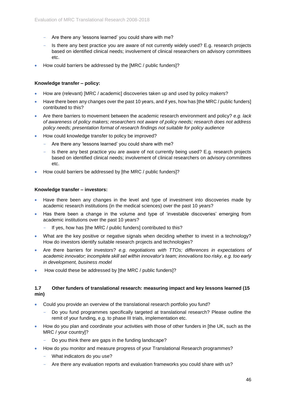- Are there any 'lessons learned' you could share with me?
- Is there any best practice you are aware of not currently widely used? E.g. research projects based on identified clinical needs; involvement of clinical researchers on advisory committees etc.
- How could barriers be addressed by the [MRC / public funders]?

## **Knowledge transfer – policy:**

- How are (relevant) [MRC / academic] discoveries taken up and used by policy makers?
- Have there been any changes over the past 10 years, and if yes, how has [the MRC / public funders] contributed to this?
- Are there barriers to movement between the academic research environment and policy? *e.g. lack of awareness of policy makers; researchers not aware of policy needs; research does not address policy needs; presentation format of research findings not suitable for policy audience*
- How could knowledge transfer to policy be improved?
	- Are there any 'lessons learned' you could share with me?
	- Is there any best practice you are aware of not currently being used? E.g. research projects based on identified clinical needs; involvement of clinical researchers on advisory committees etc.
- How could barriers be addressed by [the MRC / public funders]?

## **Knowledge transfer – investors:**

- Have there been any changes in the level and type of investment into discoveries made by academic research institutions (in the medical sciences) over the past 10 years?
- Has there been a change in the volume and type of 'investable discoveries' emerging from academic institutions over the past 10 years?
	- If yes, how has [the MRC / public funders] contributed to this?
- What are the key positive or negative signals when deciding whether to invest in a technology? How do investors identify suitable research projects and technologies?
- Are there barriers for investors? *e.g. negotiations with TTOs; differences in expectations of academic innovator; incomplete skill set within innovator's team; innovations too risky, e.g. too early in development, business model*
- How could these be addressed by [the MRC / public funders]?

## **1.7 Other funders of translational research: measuring impact and key lessons learned (15 min)**

- Could you provide an overview of the translational research portfolio you fund?
	- Do you fund programmes specifically targeted at translational research? Please outline the remit of your funding, e.g. to phase III trials, implementation etc.
- How do you plan and coordinate your activities with those of other funders in [the UK, such as the MRC / your country]?
	- Do you think there are gaps in the funding landscape?
- How do you monitor and measure progress of your Translational Research programmes?
	- What indicators do you use?
	- Are there any evaluation reports and evaluation frameworks you could share with us?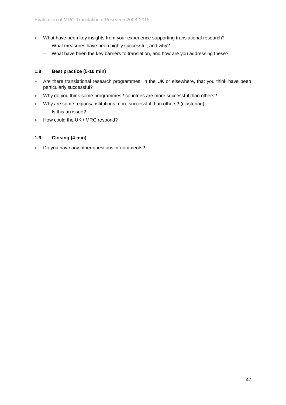- What have been key insights from your experience supporting translational research?
	- What measures have been highly successful, and why?
	- What have been the key barriers to translation, and how are you addressing these?

## **1.8 Best practice (5-10 min)**

- Are there translational research programmes, in the UK or elsewhere, that you think have been particularly successful?
- Why do you think some programmes / countries are more successful than others?
- Why are some regions/institutions more successful than others? (clustering)
	- Is this an issue?
- How could the UK / MRC respond?

## **1.9 Closing (4 min)**

• Do you have any other questions or comments?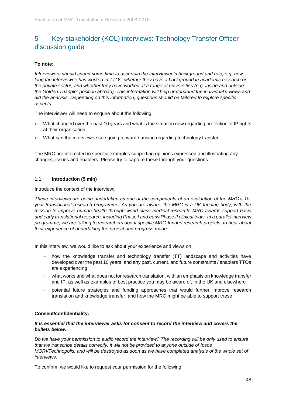# <span id="page-47-0"></span>5 Key stakeholder (KOL) interviews: Technology Transfer Officer discussion guide

## **To note:**

*Interviewers should spend some time to ascertain the interviewee's background and role, e.g. how long the interviewee has worked in TTOs, whether they have a background in academic research or the private sector, and whether they have worked at a range of universities (e.g. inside and outside the Golden Triangle; position abroad). This information will help understand the individual's views and aid the analysis. Depending on this information, questions should be tailored to explore specific aspects.*

The interviewer will need to enquire about the following:

- What changed over the past 10 years and what is the situation now regarding protection of IP rights at their organisation
- What can the interviewee see going forward / arising regarding technology transfer.

The MRC are interested in specific examples supporting opinions expressed and illustrating any changes, issues and enablers. Please try to capture these through your questions.

## **1.1 Introduction (5 min)**

Introduce the context of the interview:

*These interviews are being undertaken as one of the components of an evaluation of the MRC's 10 year translational research programme. As you are aware, the MRC is a UK funding body, with the mission to improve human health through world-class medical research. MRC awards support basic and early translational research, including Phase I and early Phase II clinical trials. In a parallel interview programme, we are talking to researchers about specific MRC-funded research projects, to hear about their experience of undertaking the project and progress made.* 

In this interview, we would like to ask about your experience and views on:

- how the knowledge transfer and technology transfer (TT) landscape and activities have developed over the past 10 years, and any past, current, and future constraints / enablers TTOs are experiencing
- what works and what does not for research translation, with an emphasis on knowledge transfer and IP, as well as examples of best practice you may be aware of, in the UK and elsewhere
- potential future strategies and funding approaches that would further improve research translation and knowledge transfer, and how the MRC might be able to support these

## **Consent/confidentiality:**

#### *It is essential that the interviewer asks for consent to record the interview and covers the bullets below.*

*Do we have your permission to audio record the interview? The recording will be only used to ensure that we transcribe details correctly, it will not be provided to anyone outside of Ipsos MORI/Technopolis, and will be destroved as soon as we have completed analysis of the whole set of interviews.*

To confirm, we would like to request your permission for the following: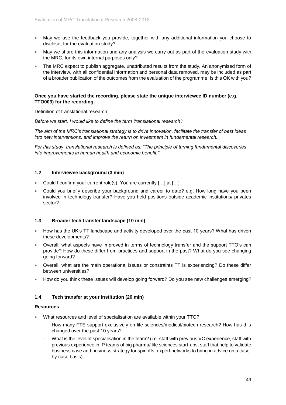- May we use the feedback you provide, together with any additional information you choose to disclose, for the evaluation study?
- May we share this information and any analysis we carry out as part of the evaluation study with the MRC, for its own internal purposes only?
- The MRC expect to publish aggregate, unattributed results from the study. An anonymised form of the interview, with all confidential information and personal data removed, may be included as part of a broader publication of the outcomes from the evaluation of the programme. Is this OK with you?

#### **Once you have started the recording, please state the unique interviewee ID number (e.g. TTO003) for the recording.**

Definition of translational research:

*Before we start, I would like to define the term 'translational research':*

*The aim of the MRC's translational strategy is to drive innovation, facilitate the transfer of best ideas into new interventions, and improve the return on investment in fundamental research.* 

*For this study, translational research is defined as: "The principle of turning fundamental discoveries into improvements in human health and economic benefit."* 

## **1.2 Interviewee background (3 min)**

- Could I confirm your current role(s): You are currently [...] at [...]
- Could you briefly describe your background and career to date? e.g. How long have you been involved in technology transfer? Have you held positions outside academic institutions/ privates sector?

## **1.3 Broader tech transfer landscape (10 min)**

- How has the UK's TT landscape and activity developed over the past 10 years? What has driven these developments?
- Overall, what aspects have improved in terms of technology transfer and the support TTO's can provide? How do these differ from practices and support in the past? What do you see changing going forward?
- Overall, what are the main operational issues or constraints TT is experiencing? Do these differ between universities?
- How do you think these issues will develop going forward? Do you see new challenges emerging?

## **1.4 Tech transfer at your institution (20 min)**

#### **Resources**

- What resources and level of specialisation are available within your TTO?
	- How many FTE support exclusively on life sciences/medical/biotech research? How has this changed over the past 10 years?
	- What is the level of specialisation in the team? (i.e. staff with previous VC experience, staff with previous experience in IP teams of big pharma/ life sciences start-ups, staff that help to validate business case and business strategy for spinoffs, expert networks to bring in advice on a caseby-case basis)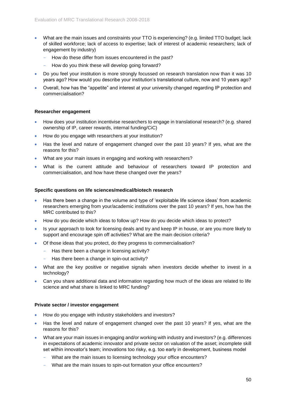- What are the main issues and constraints your TTO is experiencing? (e.g. limited TTO budget; lack of skilled workforce; lack of access to expertise; lack of interest of academic researchers; lack of engagement by industry)
	- How do these differ from issues encountered in the past?
	- How do you think these will develop going forward?
- Do you feel your institution is more strongly focussed on research translation now than it was 10 years ago? How would you describe your institution's translational culture, now and 10 years ago?
- Overall, how has the "appetite" and interest at your university changed regarding IP protection and commercialisation?

#### **Researcher engagement**

- How does your institution incentivise researchers to engage in translational research? (e.g. shared ownership of IP, career rewards, internal funding/CiC)
- How do you engage with researchers at your institution?
- Has the level and nature of engagement changed over the past 10 years? If yes, what are the reasons for this?
- What are your main issues in engaging and working with researchers?
- What is the current attitude and behaviour of researchers toward IP protection and commercialisation, and how have these changed over the years?

#### **Specific questions on life sciences/medical/biotech research**

- Has there been a change in the volume and type of 'exploitable life science ideas' from academic researchers emerging from your/academic institutions over the past 10 years? If yes, how has the MRC contributed to this?
- How do you decide which ideas to follow up? How do you decide which ideas to protect?
- Is your approach to look for licensing deals and try and keep IP in house, or are you more likely to support and encourage spin off activities? What are the main decision criteria?
- Of those ideas that you protect, do they progress to commercialisation?
	- Has there been a change in licensing activity?
	- Has there been a change in spin-out activity?
- What are the key positive or negative signals when investors decide whether to invest in a technology?
- Can you share additional data and information regarding how much of the ideas are related to life science and what share is linked to MRC funding?

#### **Private sector / investor engagement**

- How do you engage with industry stakeholders and investors?
- Has the level and nature of engagement changed over the past 10 years? If yes, what are the reasons for this?
- What are your main issues in engaging and/or working with industry and investors? (e.g. differences in expectations of academic innovator and private sector on valuation of the asset; incomplete skill set within innovator's team; innovations too risky, e.g. too early in development, business model
	- What are the main issues to licensing technology your office encounters?
	- What are the main issues to spin-out formation your office encounters?